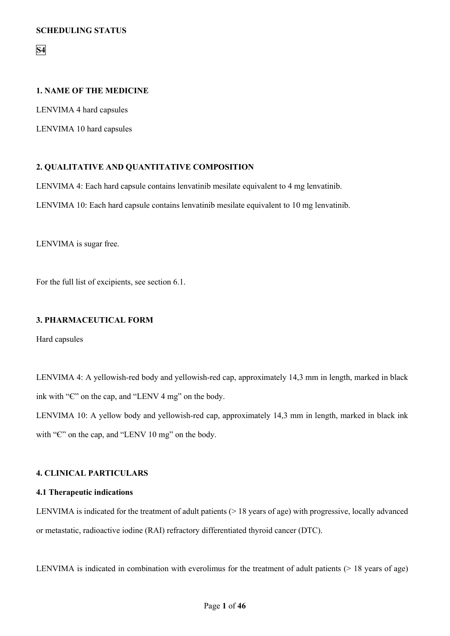**S4**

# **1. NAME OF THE MEDICINE**

LENVIMA 4 hard capsules

LENVIMA 10 hard capsules

# **2. QUALITATIVE AND QUANTITATIVE COMPOSITION**

LENVIMA 4: Each hard capsule contains lenvatinib mesilate equivalent to 4 mg lenvatinib.

LENVIMA 10: Each hard capsule contains lenvatinib mesilate equivalent to 10 mg lenvatinib.

LENVIMA is sugar free.

For the full list of excipients, see section 6.1.

# **3. PHARMACEUTICAL FORM**

Hard capsules

LENVIMA 4: A yellowish-red body and yellowish-red cap, approximately 14,3 mm in length, marked in black ink with "Є" on the cap, and "LENV 4 mg" on the body.

LENVIMA 10: A yellow body and yellowish-red cap, approximately 14,3 mm in length, marked in black ink with "C" on the cap, and "LENV 10 mg" on the body.

# **4. CLINICAL PARTICULARS**

# **4.1 Therapeutic indications**

LENVIMA is indicated for the treatment of adult patients  $(> 18$  years of age) with progressive, locally advanced or metastatic, radioactive iodine (RAI) refractory differentiated thyroid cancer (DTC).

LENVIMA is indicated in combination with everolimus for the treatment of adult patients (> 18 years of age)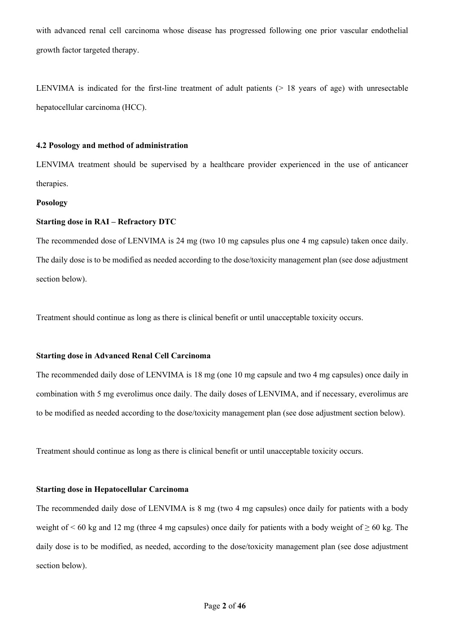with advanced renal cell carcinoma whose disease has progressed following one prior vascular endothelial growth factor targeted therapy.

LENVIMA is indicated for the first-line treatment of adult patients  $(> 18$  years of age) with unresectable hepatocellular carcinoma (HCC).

## **4.2 Posology and method of administration**

LENVIMA treatment should be supervised by a healthcare provider experienced in the use of anticancer therapies.

# **Posology**

## **Starting dose in RAI – Refractory DTC**

The recommended dose of LENVIMA is 24 mg (two 10 mg capsules plus one 4 mg capsule) taken once daily. The daily dose is to be modified as needed according to the dose/toxicity management plan (see dose adjustment section below).

Treatment should continue as long as there is clinical benefit or until unacceptable toxicity occurs.

## **Starting dose in Advanced Renal Cell Carcinoma**

The recommended daily dose of LENVIMA is 18 mg (one 10 mg capsule and two 4 mg capsules) once daily in combination with 5 mg everolimus once daily. The daily doses of LENVIMA, and if necessary, everolimus are to be modified as needed according to the dose/toxicity management plan (see dose adjustment section below).

Treatment should continue as long as there is clinical benefit or until unacceptable toxicity occurs.

## **Starting dose in Hepatocellular Carcinoma**

The recommended daily dose of LENVIMA is 8 mg (two 4 mg capsules) once daily for patients with a body weight of  $\leq 60$  kg and 12 mg (three 4 mg capsules) once daily for patients with a body weight of  $\geq 60$  kg. The daily dose is to be modified, as needed, according to the dose/toxicity management plan (see dose adjustment section below).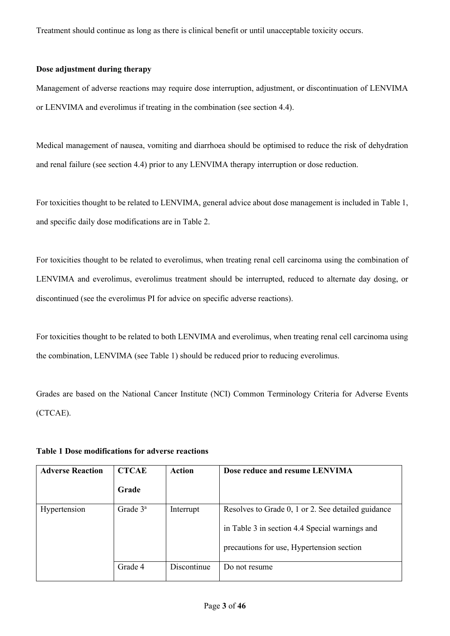Treatment should continue as long as there is clinical benefit or until unacceptable toxicity occurs.

## **Dose adjustment during therapy**

Management of adverse reactions may require dose interruption, adjustment, or discontinuation of LENVIMA or LENVIMA and everolimus if treating in the combination (see section 4.4).

Medical management of nausea, vomiting and diarrhoea should be optimised to reduce the risk of dehydration and renal failure (see section 4.4) prior to any LENVIMA therapy interruption or dose reduction.

For toxicities thought to be related to LENVIMA, general advice about dose management is included in Table 1, and specific daily dose modifications are in Table 2.

For toxicities thought to be related to everolimus, when treating renal cell carcinoma using the combination of LENVIMA and everolimus, everolimus treatment should be interrupted, reduced to alternate day dosing, or discontinued (see the everolimus PI for advice on specific adverse reactions).

For toxicities thought to be related to both LENVIMA and everolimus, when treating renal cell carcinoma using the combination, LENVIMA (see Table 1) should be reduced prior to reducing everolimus.

Grades are based on the National Cancer Institute (NCI) Common Terminology Criteria for Adverse Events (CTCAE).

| <b>Adverse Reaction</b> | <b>CTCAE</b> | Action      | Dose reduce and resume LENVIMA                                                                                                                    |
|-------------------------|--------------|-------------|---------------------------------------------------------------------------------------------------------------------------------------------------|
|                         | Grade        |             |                                                                                                                                                   |
| Hypertension            | Grade $3^a$  | Interrupt   | Resolves to Grade 0, 1 or 2. See detailed guidance<br>in Table 3 in section 4.4 Special warnings and<br>precautions for use, Hypertension section |
|                         | Grade 4      | Discontinue | Do not resume                                                                                                                                     |

# **Table 1 Dose modifications for adverse reactions**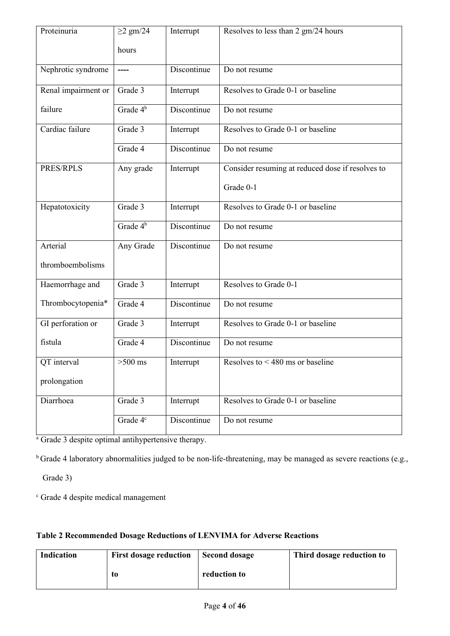| Proteinuria         | $\geq$ 2 gm/24       | Interrupt   | Resolves to less than 2 gm/24 hours              |
|---------------------|----------------------|-------------|--------------------------------------------------|
|                     | hours                |             |                                                  |
| Nephrotic syndrome  | $---$                | Discontinue | Do not resume                                    |
| Renal impairment or | Grade 3              | Interrupt   | Resolves to Grade 0-1 or baseline                |
| failure             | Grade 4 <sup>b</sup> | Discontinue | Do not resume                                    |
| Cardiac failure     | Grade 3              | Interrupt   | Resolves to Grade 0-1 or baseline                |
|                     | Grade 4              | Discontinue | Do not resume                                    |
| PRES/RPLS           | Any grade            | Interrupt   | Consider resuming at reduced dose if resolves to |
|                     |                      |             | Grade 0-1                                        |
| Hepatotoxicity      | Grade 3              | Interrupt   | Resolves to Grade 0-1 or baseline                |
|                     | Grade $4^b$          | Discontinue | Do not resume                                    |
| Arterial            | Any Grade            | Discontinue | Do not resume                                    |
| thromboembolisms    |                      |             |                                                  |
| Haemorrhage and     | Grade 3              | Interrupt   | Resolves to Grade 0-1                            |
| Thrombocytopenia*   | Grade 4              | Discontinue | Do not resume                                    |
| GI perforation or   | Grade 3              | Interrupt   | Resolves to Grade 0-1 or baseline                |
| fistula             | Grade 4              | Discontinue | Do not resume                                    |
| QT interval         | $>500$ ms            | Interrupt   | Resolves to $<$ 480 ms or baseline               |
| prolongation        |                      |             |                                                  |
| Diarrhoea           | Grade 3              | Interrupt   | Resolves to Grade 0-1 or baseline                |
|                     | Grade 4 <sup>c</sup> | Discontinue | Do not resume                                    |

 $\frac{1}{a}$  Grade 3 despite optimal antihypertensive therapy.

<sup>b</sup> Grade 4 laboratory abnormalities judged to be non-life-threatening, may be managed as severe reactions (e.g.,

Grade 3)

<sup>c</sup> Grade 4 despite medical management

|  | Table 2 Recommended Dosage Reductions of LENVIMA for Adverse Reactions |
|--|------------------------------------------------------------------------|
|  |                                                                        |

| Indication | <b>First dosage reduction</b> | <b>Second dosage</b> | Third dosage reduction to |
|------------|-------------------------------|----------------------|---------------------------|
|            | t0                            | reduction to         |                           |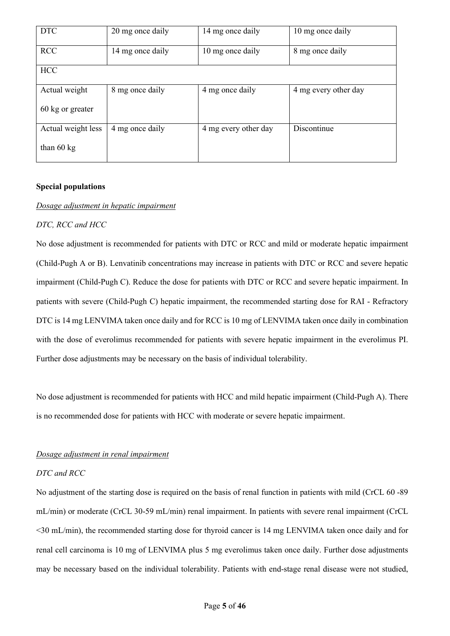| <b>DTC</b>           | 20 mg once daily | 14 mg once daily     | 10 mg once daily     |
|----------------------|------------------|----------------------|----------------------|
| <b>RCC</b>           | 14 mg once daily | 10 mg once daily     | 8 mg once daily      |
| <b>HCC</b>           |                  |                      |                      |
| Actual weight        | 8 mg once daily  | 4 mg once daily      | 4 mg every other day |
| 60 kg or greater     |                  |                      |                      |
| Actual weight less   | 4 mg once daily  | 4 mg every other day | Discontinue          |
| than $60 \text{ kg}$ |                  |                      |                      |

# **Special populations**

## *Dosage adjustment in hepatic impairment*

## *DTC, RCC and HCC*

No dose adjustment is recommended for patients with DTC or RCC and mild or moderate hepatic impairment (Child-Pugh A or B). Lenvatinib concentrations may increase in patients with DTC or RCC and severe hepatic impairment (Child-Pugh C). Reduce the dose for patients with DTC or RCC and severe hepatic impairment. In patients with severe (Child-Pugh C) hepatic impairment, the recommended starting dose for RAI - Refractory DTC is 14 mg LENVIMA taken once daily and for RCC is 10 mg of LENVIMA taken once daily in combination with the dose of everolimus recommended for patients with severe hepatic impairment in the everolimus PI. Further dose adjustments may be necessary on the basis of individual tolerability.

No dose adjustment is recommended for patients with HCC and mild hepatic impairment (Child-Pugh A). There is no recommended dose for patients with HCC with moderate or severe hepatic impairment.

# *Dosage adjustment in renal impairment*

# *DTC and RCC*

No adjustment of the starting dose is required on the basis of renal function in patients with mild (CrCL 60 -89 mL/min) or moderate (CrCL 30-59 mL/min) renal impairment. In patients with severe renal impairment (CrCL <30 mL/min), the recommended starting dose for thyroid cancer is 14 mg LENVIMA taken once daily and for renal cell carcinoma is 10 mg of LENVIMA plus 5 mg everolimus taken once daily. Further dose adjustments may be necessary based on the individual tolerability. Patients with end-stage renal disease were not studied,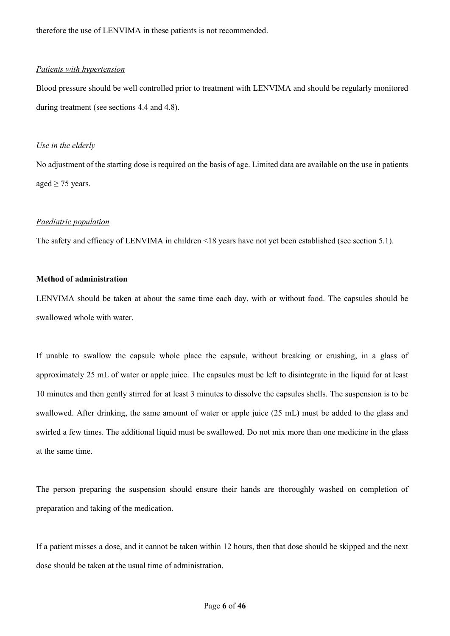therefore the use of LENVIMA in these patients is not recommended.

## *Patients with hypertension*

Blood pressure should be well controlled prior to treatment with LENVIMA and should be regularly monitored during treatment (see sections 4.4 and 4.8).

## *Use in the elderly*

No adjustment of the starting dose is required on the basis of age. Limited data are available on the use in patients aged  $\geq$  75 years.

## *Paediatric population*

The safety and efficacy of LENVIMA in children <18 years have not yet been established (see section 5.1).

# **Method of administration**

LENVIMA should be taken at about the same time each day, with or without food. The capsules should be swallowed whole with water.

If unable to swallow the capsule whole place the capsule, without breaking or crushing, in a glass of approximately 25 mL of water or apple juice. The capsules must be left to disintegrate in the liquid for at least 10 minutes and then gently stirred for at least 3 minutes to dissolve the capsules shells. The suspension is to be swallowed. After drinking, the same amount of water or apple juice (25 mL) must be added to the glass and swirled a few times. The additional liquid must be swallowed. Do not mix more than one medicine in the glass at the same time.

The person preparing the suspension should ensure their hands are thoroughly washed on completion of preparation and taking of the medication.

If a patient misses a dose, and it cannot be taken within 12 hours, then that dose should be skipped and the next dose should be taken at the usual time of administration.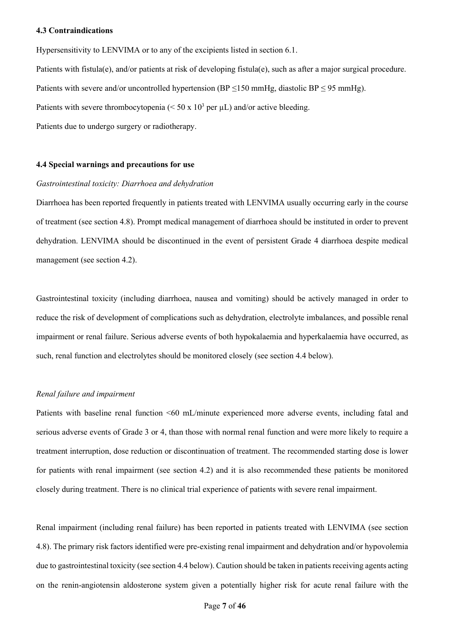## **4.3 Contraindications**

Hypersensitivity to LENVIMA or to any of the excipients listed in section 6.1.

Patients with fistula(e), and/or patients at risk of developing fistula(e), such as after a major surgical procedure. Patients with severe and/or uncontrolled hypertension (BP  $\leq$ 150 mmHg, diastolic BP  $\leq$  95 mmHg). Patients with severe thrombocytopenia ( $\leq 50 \times 10^3$  per  $\mu$ L) and/or active bleeding.

Patients due to undergo surgery or radiotherapy.

## **4.4 Special warnings and precautions for use**

## *Gastrointestinal toxicity: Diarrhoea and dehydration*

Diarrhoea has been reported frequently in patients treated with LENVIMA usually occurring early in the course of treatment (see section 4.8). Prompt medical management of diarrhoea should be instituted in order to prevent dehydration. LENVIMA should be discontinued in the event of persistent Grade 4 diarrhoea despite medical management (see section 4.2).

Gastrointestinal toxicity (including diarrhoea, nausea and vomiting) should be actively managed in order to reduce the risk of development of complications such as dehydration, electrolyte imbalances, and possible renal impairment or renal failure. Serious adverse events of both hypokalaemia and hyperkalaemia have occurred, as such, renal function and electrolytes should be monitored closely (see section 4.4 below).

## *Renal failure and impairment*

Patients with baseline renal function <60 mL/minute experienced more adverse events, including fatal and serious adverse events of Grade 3 or 4, than those with normal renal function and were more likely to require a treatment interruption, dose reduction or discontinuation of treatment. The recommended starting dose is lower for patients with renal impairment (see section 4.2) and it is also recommended these patients be monitored closely during treatment. There is no clinical trial experience of patients with severe renal impairment.

Renal impairment (including renal failure) has been reported in patients treated with LENVIMA (see section 4.8). The primary risk factors identified were pre-existing renal impairment and dehydration and/or hypovolemia due to gastrointestinal toxicity (see section 4.4 below). Caution should be taken in patients receiving agents acting on the renin-angiotensin aldosterone system given a potentially higher risk for acute renal failure with the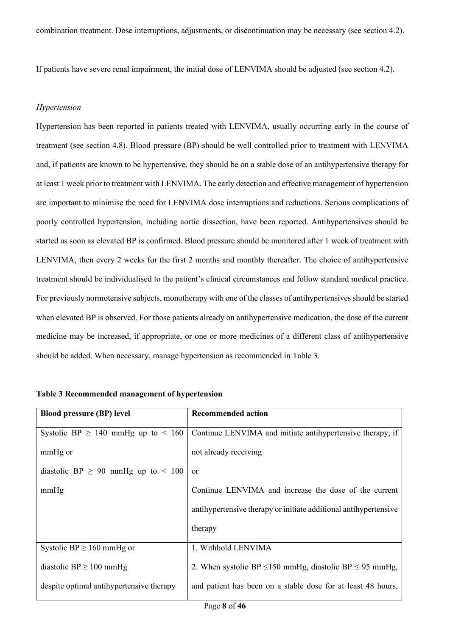If patients have severe renal impairment, the initial dose of LENVIMA should be adjusted (see section 4.2).

## *Hypertension*

Hypertension has been reported in patients treated with LENVIMA, usually occurring early in the course of treatment (see section 4.8). Blood pressure (BP) should be well controlled prior to treatment with LENVIMA and, if patients are known to be hypertensive, they should be on a stable dose of an antihypertensive therapy for at least 1 week prior to treatment with LENVIMA. The early detection and effective management of hypertension are important to minimise the need for LENVIMA dose interruptions and reductions. Serious complications of poorly controlled hypertension, including aortic dissection, have been reported. Antihypertensives should be started as soon as elevated BP is confirmed. Blood pressure should be monitored after 1 week of treatment with LENVIMA, then every 2 weeks for the first 2 months and monthly thereafter. The choice of antihypertensive treatment should be individualised to the patient's clinical circumstances and follow standard medical practice. For previously normotensive subjects, monotherapy with one of the classes of antihypertensives should be started when elevated BP is observed. For those patients already on antihypertensive medication, the dose of the current medicine may be increased, if appropriate, or one or more medicines of a different class of antihypertensive should be added. When necessary, manage hypertension as recommended in Table 3.

| <b>Blood pressure (BP) level</b>         | <b>Recommended action</b>                                         |
|------------------------------------------|-------------------------------------------------------------------|
| Systolic BP $\geq$ 140 mmHg up to < 160  | Continue LENVIMA and initiate antihypertensive therapy, if        |
| mmHg or                                  | not already receiving                                             |
| diastolic BP $\geq$ 90 mmHg up to < 100  | or                                                                |
| mmHg                                     | Continue LENVIMA and increase the dose of the current             |
|                                          | antihypertensive therapy or initiate additional antihypertensive  |
|                                          | therapy                                                           |
| Systolic BP $\geq$ 160 mmHg or           | 1. Withhold LENVIMA                                               |
| diastolic BP $\geq$ 100 mmHg             | 2. When systolic BP $\leq$ 150 mmHg, diastolic BP $\leq$ 95 mmHg, |
| despite optimal antihypertensive therapy | and patient has been on a stable dose for at least 48 hours,      |
|                                          |                                                                   |

# **Table 3 Recommended management of hypertension**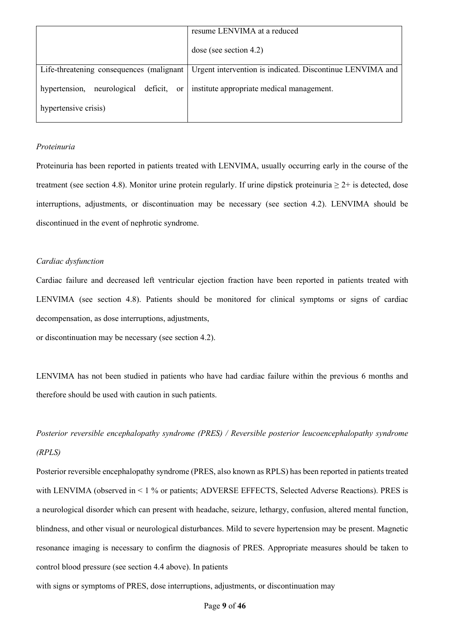|                                                                                  | resume LENVIMA at a reduced                               |
|----------------------------------------------------------------------------------|-----------------------------------------------------------|
|                                                                                  | dose (see section 4.2)                                    |
| Life-threatening consequences (malignant                                         | Urgent intervention is indicated. Discontinue LENVIMA and |
| hypertension, neurological deficit, or institute appropriate medical management. |                                                           |
| hypertensive crisis)                                                             |                                                           |

# *Proteinuria*

Proteinuria has been reported in patients treated with LENVIMA, usually occurring early in the course of the treatment (see section 4.8). Monitor urine protein regularly. If urine dipstick proteinuria  $\geq 2+$  is detected, dose interruptions, adjustments, or discontinuation may be necessary (see section 4.2). LENVIMA should be discontinued in the event of nephrotic syndrome.

# *Cardiac dysfunction*

Cardiac failure and decreased left ventricular ejection fraction have been reported in patients treated with LENVIMA (see section 4.8). Patients should be monitored for clinical symptoms or signs of cardiac decompensation, as dose interruptions, adjustments,

or discontinuation may be necessary (see section 4.2).

LENVIMA has not been studied in patients who have had cardiac failure within the previous 6 months and therefore should be used with caution in such patients.

*Posterior reversible encephalopathy syndrome (PRES) / Reversible posterior leucoencephalopathy syndrome (RPLS)*

Posterior reversible encephalopathy syndrome (PRES, also known as RPLS) has been reported in patients treated with LENVIMA (observed in < 1 % or patients; ADVERSE EFFECTS, Selected Adverse Reactions). PRES is a neurological disorder which can present with headache, seizure, lethargy, confusion, altered mental function, blindness, and other visual or neurological disturbances. Mild to severe hypertension may be present. Magnetic resonance imaging is necessary to confirm the diagnosis of PRES. Appropriate measures should be taken to control blood pressure (see section 4.4 above). In patients

with signs or symptoms of PRES, dose interruptions, adjustments, or discontinuation may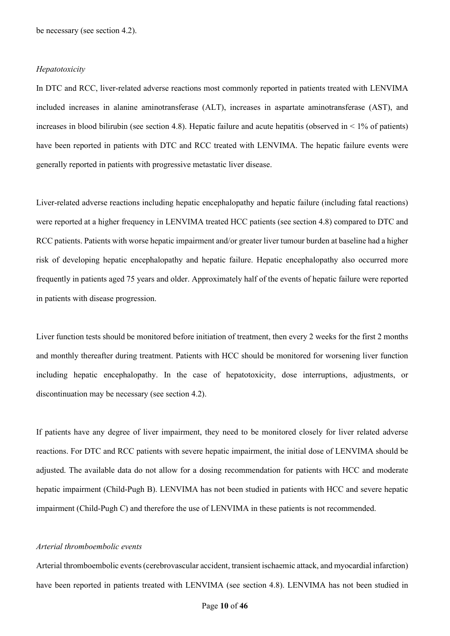be necessary (see section 4.2).

### *Hepatotoxicity*

In DTC and RCC, liver-related adverse reactions most commonly reported in patients treated with LENVIMA included increases in alanine aminotransferase (ALT), increases in aspartate aminotransferase (AST), and increases in blood bilirubin (see section 4.8). Hepatic failure and acute hepatitis (observed in  $\leq 1\%$  of patients) have been reported in patients with DTC and RCC treated with LENVIMA. The hepatic failure events were generally reported in patients with progressive metastatic liver disease.

Liver-related adverse reactions including hepatic encephalopathy and hepatic failure (including fatal reactions) were reported at a higher frequency in LENVIMA treated HCC patients (see section 4.8) compared to DTC and RCC patients. Patients with worse hepatic impairment and/or greater liver tumour burden at baseline had a higher risk of developing hepatic encephalopathy and hepatic failure. Hepatic encephalopathy also occurred more frequently in patients aged 75 years and older. Approximately half of the events of hepatic failure were reported in patients with disease progression.

Liver function tests should be monitored before initiation of treatment, then every 2 weeks for the first 2 months and monthly thereafter during treatment. Patients with HCC should be monitored for worsening liver function including hepatic encephalopathy. In the case of hepatotoxicity, dose interruptions, adjustments, or discontinuation may be necessary (see section 4.2).

If patients have any degree of liver impairment, they need to be monitored closely for liver related adverse reactions. For DTC and RCC patients with severe hepatic impairment, the initial dose of LENVIMA should be adjusted. The available data do not allow for a dosing recommendation for patients with HCC and moderate hepatic impairment (Child-Pugh B). LENVIMA has not been studied in patients with HCC and severe hepatic impairment (Child-Pugh C) and therefore the use of LENVIMA in these patients is not recommended.

#### *Arterial thromboembolic events*

Arterial thromboembolic events (cerebrovascular accident, transient ischaemic attack, and myocardial infarction) have been reported in patients treated with LENVIMA (see section 4.8). LENVIMA has not been studied in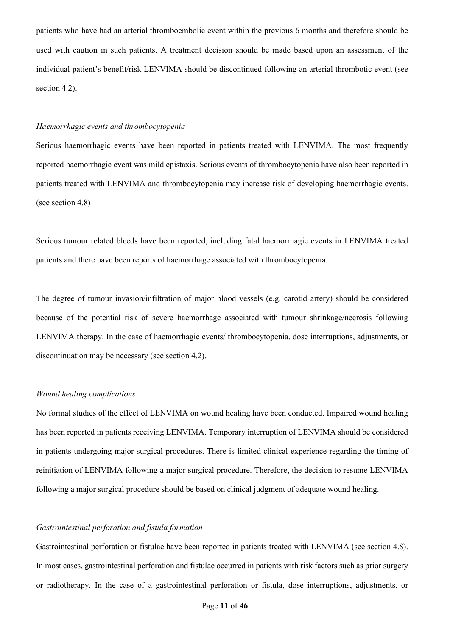patients who have had an arterial thromboembolic event within the previous 6 months and therefore should be used with caution in such patients. A treatment decision should be made based upon an assessment of the individual patient's benefit/risk LENVIMA should be discontinued following an arterial thrombotic event (see section 4.2).

#### *Haemorrhagic events and thrombocytopenia*

Serious haemorrhagic events have been reported in patients treated with LENVIMA. The most frequently reported haemorrhagic event was mild epistaxis. Serious events of thrombocytopenia have also been reported in patients treated with LENVIMA and thrombocytopenia may increase risk of developing haemorrhagic events. (see section 4.8)

Serious tumour related bleeds have been reported, including fatal haemorrhagic events in LENVIMA treated patients and there have been reports of haemorrhage associated with thrombocytopenia.

The degree of tumour invasion/infiltration of major blood vessels (e.g. carotid artery) should be considered because of the potential risk of severe haemorrhage associated with tumour shrinkage/necrosis following LENVIMA therapy. In the case of haemorrhagic events/ thrombocytopenia, dose interruptions, adjustments, or discontinuation may be necessary (see section 4.2).

#### *Wound healing complications*

No formal studies of the effect of LENVIMA on wound healing have been conducted. Impaired wound healing has been reported in patients receiving LENVIMA. Temporary interruption of LENVIMA should be considered in patients undergoing major surgical procedures. There is limited clinical experience regarding the timing of reinitiation of LENVIMA following a major surgical procedure. Therefore, the decision to resume LENVIMA following a major surgical procedure should be based on clinical judgment of adequate wound healing.

## *Gastrointestinal perforation and fistula formation*

Gastrointestinal perforation or fistulae have been reported in patients treated with LENVIMA (see section 4.8). In most cases, gastrointestinal perforation and fistulae occurred in patients with risk factors such as prior surgery or radiotherapy. In the case of a gastrointestinal perforation or fistula, dose interruptions, adjustments, or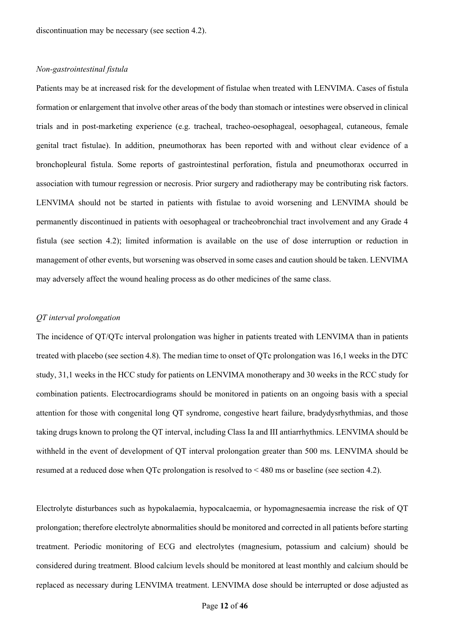discontinuation may be necessary (see section 4.2).

## *Non-gastrointestinal fistula*

Patients may be at increased risk for the development of fistulae when treated with LENVIMA. Cases of fistula formation or enlargement that involve other areas of the body than stomach or intestines were observed in clinical trials and in post-marketing experience (e.g. tracheal, tracheo-oesophageal, oesophageal, cutaneous, female genital tract fistulae). In addition, pneumothorax has been reported with and without clear evidence of a bronchopleural fistula. Some reports of gastrointestinal perforation, fistula and pneumothorax occurred in association with tumour regression or necrosis. Prior surgery and radiotherapy may be contributing risk factors. LENVIMA should not be started in patients with fistulae to avoid worsening and LENVIMA should be permanently discontinued in patients with oesophageal or tracheobronchial tract involvement and any Grade 4 fistula (see section 4.2); limited information is available on the use of dose interruption or reduction in management of other events, but worsening was observed in some cases and caution should be taken. LENVIMA may adversely affect the wound healing process as do other medicines of the same class.

## *QT interval prolongation*

The incidence of QT/QTc interval prolongation was higher in patients treated with LENVIMA than in patients treated with placebo (see section 4.8). The median time to onset of QTc prolongation was 16,1 weeks in the DTC study, 31,1 weeks in the HCC study for patients on LENVIMA monotherapy and 30 weeks in the RCC study for combination patients. Electrocardiograms should be monitored in patients on an ongoing basis with a special attention for those with congenital long QT syndrome, congestive heart failure, bradydysrhythmias, and those taking drugs known to prolong the QT interval, including Class Ia and III antiarrhythmics. LENVIMA should be withheld in the event of development of QT interval prolongation greater than 500 ms. LENVIMA should be resumed at a reduced dose when QTc prolongation is resolved to < 480 ms or baseline (see section 4.2).

Electrolyte disturbances such as hypokalaemia, hypocalcaemia, or hypomagnesaemia increase the risk of QT prolongation; therefore electrolyte abnormalities should be monitored and corrected in all patients before starting treatment. Periodic monitoring of ECG and electrolytes (magnesium, potassium and calcium) should be considered during treatment. Blood calcium levels should be monitored at least monthly and calcium should be replaced as necessary during LENVIMA treatment. LENVIMA dose should be interrupted or dose adjusted as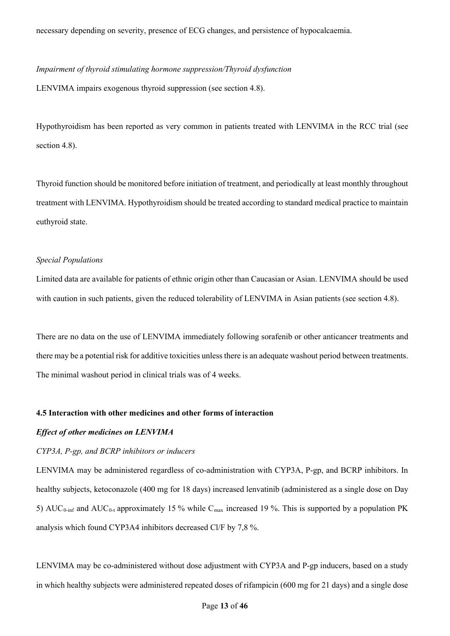## *Impairment of thyroid stimulating hormone suppression/Thyroid dysfunction*

LENVIMA impairs exogenous thyroid suppression (see section 4.8).

Hypothyroidism has been reported as very common in patients treated with LENVIMA in the RCC trial (see section 4.8).

Thyroid function should be monitored before initiation of treatment, and periodically at least monthly throughout treatment with LENVIMA. Hypothyroidism should be treated according to standard medical practice to maintain euthyroid state.

## *Special Populations*

Limited data are available for patients of ethnic origin other than Caucasian or Asian. LENVIMA should be used with caution in such patients, given the reduced tolerability of LENVIMA in Asian patients (see section 4.8).

There are no data on the use of LENVIMA immediately following sorafenib or other anticancer treatments and there may be a potential risk for additive toxicities unless there is an adequate washout period between treatments. The minimal washout period in clinical trials was of 4 weeks.

## **4.5 Interaction with other medicines and other forms of interaction**

#### *Effect of other medicines on LENVIMA*

## *CYP3A, P-gp, and BCRP inhibitors or inducers*

LENVIMA may be administered regardless of co-administration with CYP3A, P-gp, and BCRP inhibitors. In healthy subjects, ketoconazole (400 mg for 18 days) increased lenvatinib (administered as a single dose on Day 5) AUC<sub>0-inf</sub> and AUC<sub>0-t</sub> approximately 15 % while C<sub>max</sub> increased 19 %. This is supported by a population PK analysis which found CYP3A4 inhibitors decreased Cl/F by 7,8 %.

LENVIMA may be co-administered without dose adjustment with CYP3A and P-gp inducers, based on a study in which healthy subjects were administered repeated doses of rifampicin (600 mg for 21 days) and a single dose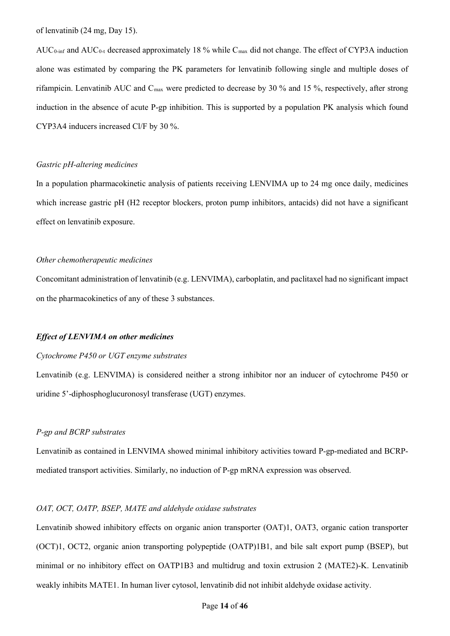of lenvatinib (24 mg, Day 15).

AUC<sub>0-inf</sub> and AUC<sub>0-t</sub> decreased approximately 18 % while C<sub>max</sub> did not change. The effect of CYP3A induction alone was estimated by comparing the PK parameters for lenvatinib following single and multiple doses of rifampicin. Lenvatinib AUC and Cmax were predicted to decrease by 30 % and 15 %, respectively, after strong induction in the absence of acute P-gp inhibition. This is supported by a population PK analysis which found CYP3A4 inducers increased Cl/F by 30 %.

# *Gastric pH-altering medicines*

In a population pharmacokinetic analysis of patients receiving LENVIMA up to 24 mg once daily, medicines which increase gastric pH (H2 receptor blockers, proton pump inhibitors, antacids) did not have a significant effect on lenvatinib exposure.

## *Other chemotherapeutic medicines*

Concomitant administration of lenvatinib (e.g. LENVIMA), carboplatin, and paclitaxel had no significant impact on the pharmacokinetics of any of these 3 substances.

### *Effect of LENVIMA on other medicines*

### *Cytochrome P450 or UGT enzyme substrates*

Lenvatinib (e.g. LENVIMA) is considered neither a strong inhibitor nor an inducer of cytochrome P450 or uridine 5'-diphosphoglucuronosyl transferase (UGT) enzymes.

## *P-gp and BCRP substrates*

Lenvatinib as contained in LENVIMA showed minimal inhibitory activities toward P-gp-mediated and BCRPmediated transport activities. Similarly, no induction of P-gp mRNA expression was observed.

# *OAT, OCT, OATP, BSEP, MATE and aldehyde oxidase substrates*

Lenvatinib showed inhibitory effects on organic anion transporter (OAT)1, OAT3, organic cation transporter (OCT)1, OCT2, organic anion transporting polypeptide (OATP)1B1, and bile salt export pump (BSEP), but minimal or no inhibitory effect on OATP1B3 and multidrug and toxin extrusion 2 (MATE2)-K. Lenvatinib weakly inhibits MATE1. In human liver cytosol, lenvatinib did not inhibit aldehyde oxidase activity.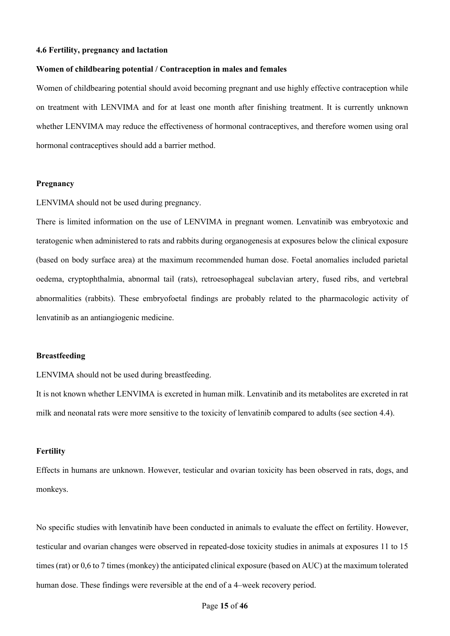# **4.6 Fertility, pregnancy and lactation**

### **Women of childbearing potential / Contraception in males and females**

Women of childbearing potential should avoid becoming pregnant and use highly effective contraception while on treatment with LENVIMA and for at least one month after finishing treatment. It is currently unknown whether LENVIMA may reduce the effectiveness of hormonal contraceptives, and therefore women using oral hormonal contraceptives should add a barrier method.

## **Pregnancy**

LENVIMA should not be used during pregnancy.

There is limited information on the use of LENVIMA in pregnant women. Lenvatinib was embryotoxic and teratogenic when administered to rats and rabbits during organogenesis at exposures below the clinical exposure (based on body surface area) at the maximum recommended human dose. Foetal anomalies included parietal oedema, cryptophthalmia, abnormal tail (rats), retroesophageal subclavian artery, fused ribs, and vertebral abnormalities (rabbits). These embryofoetal findings are probably related to the pharmacologic activity of lenvatinib as an antiangiogenic medicine.

## **Breastfeeding**

LENVIMA should not be used during breastfeeding.

It is not known whether LENVIMA is excreted in human milk. Lenvatinib and its metabolites are excreted in rat milk and neonatal rats were more sensitive to the toxicity of lenvatinib compared to adults (see section 4.4).

## **Fertility**

Effects in humans are unknown. However, testicular and ovarian toxicity has been observed in rats, dogs, and monkeys.

No specific studies with lenvatinib have been conducted in animals to evaluate the effect on fertility. However, testicular and ovarian changes were observed in repeated-dose toxicity studies in animals at exposures 11 to 15 times (rat) or 0,6 to 7 times (monkey) the anticipated clinical exposure (based on AUC) at the maximum tolerated human dose. These findings were reversible at the end of a 4–week recovery period.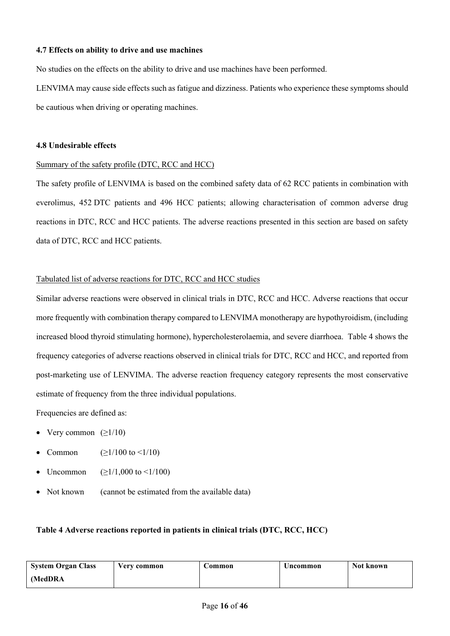# **4.7 Effects on ability to drive and use machines**

No studies on the effects on the ability to drive and use machines have been performed.

LENVIMA may cause side effects such as fatigue and dizziness. Patients who experience these symptoms should be cautious when driving or operating machines.

# **4.8 Undesirable effects**

# Summary of the safety profile (DTC, RCC and HCC)

The safety profile of LENVIMA is based on the combined safety data of 62 RCC patients in combination with everolimus, 452 DTC patients and 496 HCC patients; allowing characterisation of common adverse drug reactions in DTC, RCC and HCC patients. The adverse reactions presented in this section are based on safety data of DTC, RCC and HCC patients.

# Tabulated list of adverse reactions for DTC, RCC and HCC studies

Similar adverse reactions were observed in clinical trials in DTC, RCC and HCC. Adverse reactions that occur more frequently with combination therapy compared to LENVIMA monotherapy are hypothyroidism, (including increased blood thyroid stimulating hormone), hypercholesterolaemia, and severe diarrhoea. Table 4 shows the frequency categories of adverse reactions observed in clinical trials for DTC, RCC and HCC, and reported from post-marketing use of LENVIMA. The adverse reaction frequency category represents the most conservative estimate of frequency from the three individual populations.

Frequencies are defined as:

- Very common  $(\geq 1/10)$
- Common  $( \geq 1/100 \text{ to } \leq 1/10)$
- Uncommon ( $\geq 1/1,000$  to <1/100)
- Not known (cannot be estimated from the available data)

# **Table 4 Adverse reactions reported in patients in clinical trials (DTC, RCC, HCC)**

| <b>System Organ Class</b> | Very common | Common | Uncommon | Not known |
|---------------------------|-------------|--------|----------|-----------|
| (MedDRA)                  |             |        |          |           |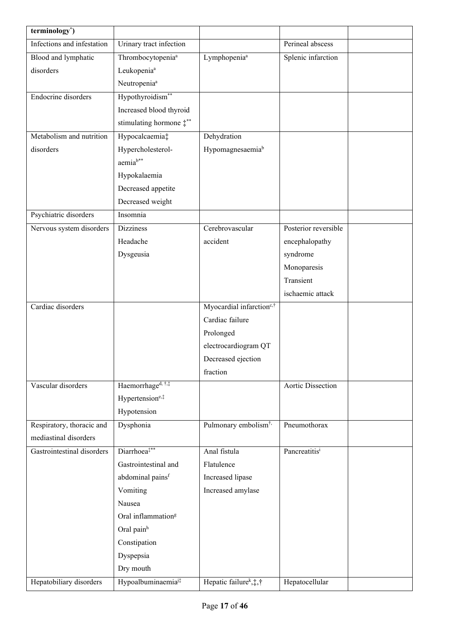| terminology*)              |                                   |                                      |                      |  |
|----------------------------|-----------------------------------|--------------------------------------|----------------------|--|
| Infections and infestation | Urinary tract infection           |                                      | Perineal abscess     |  |
| Blood and lymphatic        | Thrombocytopenia <sup>a</sup>     | Lymphopenia <sup>a</sup>             | Splenic infarction   |  |
| disorders                  | Leukopenia <sup>a</sup>           |                                      |                      |  |
|                            | Neutropenia <sup>a</sup>          |                                      |                      |  |
| Endocrine disorders        | Hypothyroidism**                  |                                      |                      |  |
|                            | Increased blood thyroid           |                                      |                      |  |
|                            | stimulating hormone $\ddagger$ ** |                                      |                      |  |
| Metabolism and nutrition   | Hypocalcaemia‡                    | Dehydration                          |                      |  |
| disorders                  | Hypercholesterol-                 | Hypomagnesaemiab                     |                      |  |
|                            | aemia <sup>b**</sup>              |                                      |                      |  |
|                            | Hypokalaemia                      |                                      |                      |  |
|                            | Decreased appetite                |                                      |                      |  |
|                            | Decreased weight                  |                                      |                      |  |
| Psychiatric disorders      | Insomnia                          |                                      |                      |  |
| Nervous system disorders   | <b>Dizziness</b>                  | Cerebrovascular                      | Posterior reversible |  |
|                            | Headache                          | accident                             | encephalopathy       |  |
|                            | Dysgeusia                         |                                      | syndrome             |  |
|                            |                                   |                                      | Monoparesis          |  |
|                            |                                   |                                      | Transient            |  |
|                            |                                   |                                      | ischaemic attack     |  |
| Cardiac disorders          |                                   | Myocardial infarction <sup>c,†</sup> |                      |  |
|                            |                                   | Cardiac failure                      |                      |  |
|                            |                                   | Prolonged                            |                      |  |
|                            |                                   | electrocardiogram QT                 |                      |  |
|                            |                                   | Decreased ejection                   |                      |  |
|                            |                                   | fraction                             |                      |  |
| Vascular disorders         | Haemorrhage <sup>d, †,‡</sup>     |                                      | Aortic Dissection    |  |
|                            | Hypertension <sup>e,‡</sup>       |                                      |                      |  |
|                            | Hypotension                       |                                      |                      |  |
| Respiratory, thoracic and  | Dysphonia                         | Pulmonary embolism <sup>†,</sup>     | Pneumothorax         |  |
| mediastinal disorders      |                                   |                                      |                      |  |
| Gastrointestinal disorders | Diarrhoea <sup>#**</sup>          | Anal fistula                         | Pancreatitisi        |  |
|                            | Gastrointestinal and              | Flatulence                           |                      |  |
|                            | abdominal pains <sup>f</sup>      |                                      |                      |  |
|                            |                                   | Increased lipase                     |                      |  |
|                            | Vomiting<br>Nausea                | Increased amylase                    |                      |  |
|                            | Oral inflammation <sup>g</sup>    |                                      |                      |  |
|                            |                                   |                                      |                      |  |
|                            | Oral painh                        |                                      |                      |  |
|                            | Constipation                      |                                      |                      |  |
|                            | Dyspepsia                         |                                      |                      |  |
|                            | Dry mouth                         |                                      |                      |  |
| Hepatobiliary disorders    | Hypoalbuminaemia <sup>j‡</sup>    | Hepatic failure <sup>k</sup> , †, †  | Hepatocellular       |  |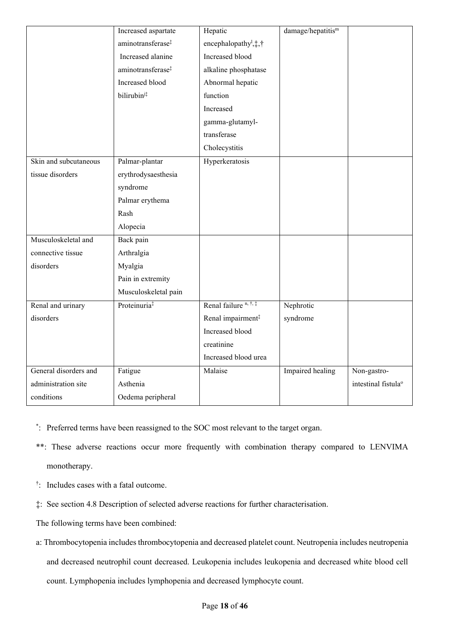|                       | Increased aspartate           | Hepatic                                              | damage/hepatitis <sup>m</sup> |                                 |
|-----------------------|-------------------------------|------------------------------------------------------|-------------------------------|---------------------------------|
|                       | aminotransferase <sup>‡</sup> | encephalopathy <sup>1</sup> , $\ddagger$ , $\dagger$ |                               |                                 |
|                       | Increased alanine             | Increased blood                                      |                               |                                 |
|                       | aminotransferase <sup>#</sup> | alkaline phosphatase                                 |                               |                                 |
|                       | Increased blood               | Abnormal hepatic                                     |                               |                                 |
|                       | bilirubini‡                   | function                                             |                               |                                 |
|                       |                               | Increased                                            |                               |                                 |
|                       |                               | gamma-glutamyl-                                      |                               |                                 |
|                       |                               | transferase                                          |                               |                                 |
|                       |                               | Cholecystitis                                        |                               |                                 |
| Skin and subcutaneous | Palmar-plantar                | Hyperkeratosis                                       |                               |                                 |
| tissue disorders      | erythrodysaesthesia           |                                                      |                               |                                 |
|                       | syndrome                      |                                                      |                               |                                 |
|                       | Palmar erythema               |                                                      |                               |                                 |
|                       | Rash                          |                                                      |                               |                                 |
|                       | Alopecia                      |                                                      |                               |                                 |
| Musculoskeletal and   | Back pain                     |                                                      |                               |                                 |
| connective tissue     | Arthralgia                    |                                                      |                               |                                 |
| disorders             | Myalgia                       |                                                      |                               |                                 |
|                       | Pain in extremity             |                                                      |                               |                                 |
|                       | Musculoskeletal pain          |                                                      |                               |                                 |
| Renal and urinary     | Proteinuria <sup>‡</sup>      | Renal failure <sup>n, †, ‡</sup>                     | Nephrotic                     |                                 |
| disorders             |                               | Renal impairment <sup>‡</sup>                        | syndrome                      |                                 |
|                       |                               | Increased blood                                      |                               |                                 |
|                       |                               | creatinine                                           |                               |                                 |
|                       |                               | Increased blood urea                                 |                               |                                 |
| General disorders and | Fatigue                       | Malaise                                              | Impaired healing              | Non-gastro-                     |
| administration site   | Asthenia                      |                                                      |                               | intestinal fistula <sup>o</sup> |
| conditions            | Oedema peripheral             |                                                      |                               |                                 |

- \* : Preferred terms have been reassigned to the SOC most relevant to the target organ.
- \*\*: These adverse reactions occur more frequently with combination therapy compared to LENVIMA monotherapy.
- † : Includes cases with a fatal outcome.
- ‡: See section 4.8 Description of selected adverse reactions for further characterisation.
- The following terms have been combined:
- a: Thrombocytopenia includes thrombocytopenia and decreased platelet count. Neutropenia includes neutropenia and decreased neutrophil count decreased. Leukopenia includes leukopenia and decreased white blood cell count. Lymphopenia includes lymphopenia and decreased lymphocyte count.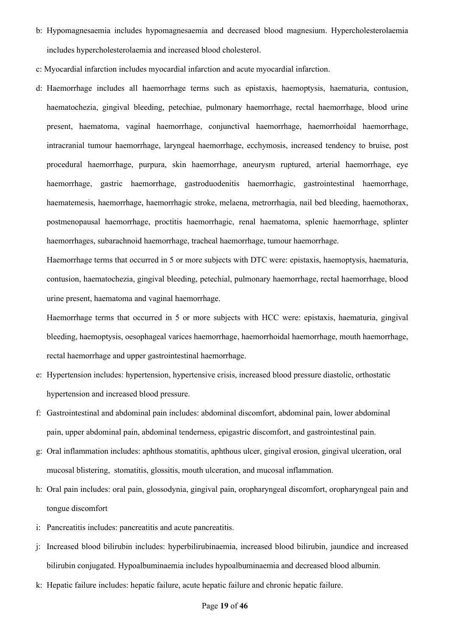- b: Hypomagnesaemia includes hypomagnesaemia and decreased blood magnesium. Hypercholesterolaemia includes hypercholesterolaemia and increased blood cholesterol.
- c: Myocardial infarction includes myocardial infarction and acute myocardial infarction.
- d: Haemorrhage includes all haemorrhage terms such as epistaxis, haemoptysis, haematuria, contusion, haematochezia, gingival bleeding, petechiae, pulmonary haemorrhage, rectal haemorrhage, blood urine present, haematoma, vaginal haemorrhage, conjunctival haemorrhage, haemorrhoidal haemorrhage, intracranial tumour haemorrhage, laryngeal haemorrhage, ecchymosis, increased tendency to bruise, post procedural haemorrhage, purpura, skin haemorrhage, aneurysm ruptured, arterial haemorrhage, eye haemorrhage, gastric haemorrhage, gastroduodenitis haemorrhagic, gastrointestinal haemorrhage, haematemesis, haemorrhage, haemorrhagic stroke, melaena, metrorrhagia, nail bed bleeding, haemothorax, postmenopausal haemorrhage, proctitis haemorrhagic, renal haematoma, splenic haemorrhage, splinter haemorrhages, subarachnoid haemorrhage, tracheal haemorrhage, tumour haemorrhage.

Haemorrhage terms that occurred in 5 or more subjects with DTC were: epistaxis, haemoptysis, haematuria, contusion, haematochezia, gingival bleeding, petechial, pulmonary haemorrhage, rectal haemorrhage, blood urine present, haematoma and vaginal haemorrhage.

Haemorrhage terms that occurred in 5 or more subjects with HCC were: epistaxis, haematuria, gingival bleeding, haemoptysis, oesophageal varices haemorrhage, haemorrhoidal haemorrhage, mouth haemorrhage, rectal haemorrhage and upper gastrointestinal haemorrhage.

- e: Hypertension includes: hypertension, hypertensive crisis, increased blood pressure diastolic, orthostatic hypertension and increased blood pressure.
- f: Gastrointestinal and abdominal pain includes: abdominal discomfort, abdominal pain, lower abdominal pain, upper abdominal pain, abdominal tenderness, epigastric discomfort, and gastrointestinal pain.
- g: Oral inflammation includes: aphthous stomatitis, aphthous ulcer, gingival erosion, gingival ulceration, oral mucosal blistering, stomatitis, glossitis, mouth ulceration, and mucosal inflammation.
- h: Oral pain includes: oral pain, glossodynia, gingival pain, oropharyngeal discomfort, oropharyngeal pain and tongue discomfort
- i: Pancreatitis includes: pancreatitis and acute pancreatitis.
- j: Increased blood bilirubin includes: hyperbilirubinaemia, increased blood bilirubin, jaundice and increased bilirubin conjugated. Hypoalbuminaemia includes hypoalbuminaemia and decreased blood albumin.
- k: Hepatic failure includes: hepatic failure, acute hepatic failure and chronic hepatic failure.

## Page **19** of **46**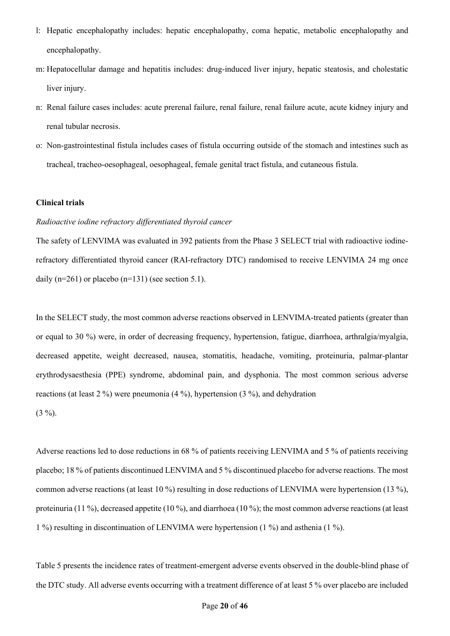- l: Hepatic encephalopathy includes: hepatic encephalopathy, coma hepatic, metabolic encephalopathy and encephalopathy.
- m: Hepatocellular damage and hepatitis includes: drug-induced liver injury, hepatic steatosis, and cholestatic liver injury.
- n: Renal failure cases includes: acute prerenal failure, renal failure, renal failure acute, acute kidney injury and renal tubular necrosis.
- o: Non-gastrointestinal fistula includes cases of fistula occurring outside of the stomach and intestines such as tracheal, tracheo-oesophageal, oesophageal, female genital tract fistula, and cutaneous fistula.

## **Clinical trials**

# *Radioactive iodine refractory differentiated thyroid cancer*

The safety of LENVIMA was evaluated in 392 patients from the Phase 3 SELECT trial with radioactive iodinerefractory differentiated thyroid cancer (RAI-refractory DTC) randomised to receive LENVIMA 24 mg once daily  $(n=261)$  or placebo  $(n=131)$  (see section 5.1).

In the SELECT study, the most common adverse reactions observed in LENVIMA-treated patients (greater than or equal to 30 %) were, in order of decreasing frequency, hypertension, fatigue, diarrhoea, arthralgia/myalgia, decreased appetite, weight decreased, nausea, stomatitis, headache, vomiting, proteinuria, palmar-plantar erythrodysaesthesia (PPE) syndrome, abdominal pain, and dysphonia. The most common serious adverse reactions (at least 2 %) were pneumonia (4 %), hypertension (3 %), and dehydration  $(3 \frac{9}{0})$ .

Adverse reactions led to dose reductions in 68 % of patients receiving LENVIMA and 5 % of patients receiving placebo; 18 % of patients discontinued LENVIMA and 5 % discontinued placebo for adverse reactions. The most common adverse reactions (at least 10 %) resulting in dose reductions of LENVIMA were hypertension (13 %), proteinuria (11 %), decreased appetite (10 %), and diarrhoea (10 %); the most common adverse reactions (at least 1 %) resulting in discontinuation of LENVIMA were hypertension (1 %) and asthenia (1 %).

Table 5 presents the incidence rates of treatment-emergent adverse events observed in the double-blind phase of the DTC study. All adverse events occurring with a treatment difference of at least 5 % over placebo are included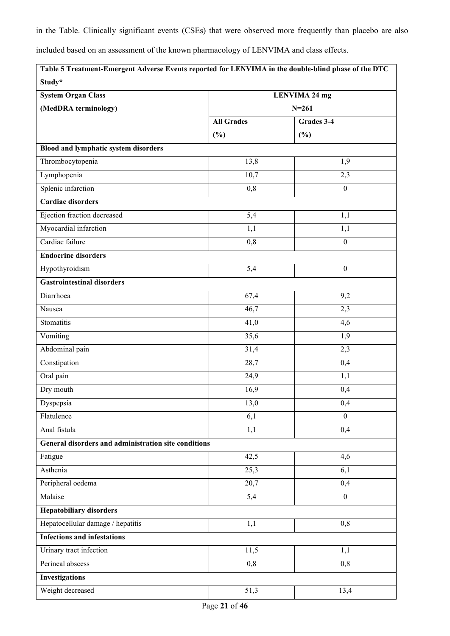in the Table. Clinically significant events (CSEs) that were observed more frequently than placebo are also

included based on an assessment of the known pharmacology of LENVIMA and class effects.

| Study*                                               |                      |                  |  |
|------------------------------------------------------|----------------------|------------------|--|
| <b>System Organ Class</b>                            | <b>LENVIMA 24 mg</b> |                  |  |
| (MedDRA terminology)                                 |                      | $N = 261$        |  |
|                                                      | <b>All Grades</b>    | Grades 3-4       |  |
|                                                      | (%)                  | (%)              |  |
| <b>Blood and lymphatic system disorders</b>          |                      |                  |  |
| Thrombocytopenia                                     | $\overline{13,8}$    | 1,9              |  |
| Lymphopenia                                          | 10,7                 | 2,3              |  |
| Splenic infarction                                   | 0,8                  | $\boldsymbol{0}$ |  |
| <b>Cardiac disorders</b>                             |                      |                  |  |
| Ejection fraction decreased                          | 5,4                  | 1,1              |  |
| Myocardial infarction                                | 1,1                  | 1,1              |  |
| Cardiac failure                                      | 0,8                  | $\boldsymbol{0}$ |  |
| <b>Endocrine disorders</b>                           |                      |                  |  |
| Hypothyroidism                                       | 5,4                  | $\boldsymbol{0}$ |  |
| <b>Gastrointestinal disorders</b>                    |                      |                  |  |
| Diarrhoea                                            | 67,4                 | 9,2              |  |
| Nausea                                               | 46,7                 | 2,3              |  |
| Stomatitis                                           | 41,0                 | 4,6              |  |
| Vomiting                                             | 35,6                 | 1,9              |  |
| Abdominal pain                                       | 31,4                 | 2,3              |  |
| Constipation                                         | 28,7                 | 0,4              |  |
| Oral pain                                            | 24,9                 | 1,1              |  |
| Dry mouth                                            | 16,9                 | 0,4              |  |
| Dyspepsia                                            | 13,0                 | 0,4              |  |
| Flatulence                                           | 6,1                  | $\mathbf{0}$     |  |
| Anal fistula                                         | $\overline{1,1}$     | 0,4              |  |
| General disorders and administration site conditions |                      |                  |  |
| Fatigue                                              | 42,5                 | 4,6              |  |
| Asthenia                                             | 25,3                 | 6,1              |  |
| Peripheral oedema                                    | 20,7                 | 0,4              |  |
| Malaise                                              | 5,4                  | $\mathbf{0}$     |  |
| <b>Hepatobiliary disorders</b>                       |                      |                  |  |
| Hepatocellular damage / hepatitis                    | 1,1                  | 0,8              |  |
| <b>Infections and infestations</b>                   |                      |                  |  |
| Urinary tract infection                              | 11,5                 | 1,1              |  |
| Perineal abscess                                     | 0,8                  | 0,8              |  |
| <b>Investigations</b>                                |                      |                  |  |
| Weight decreased                                     | 51,3                 | 13,4             |  |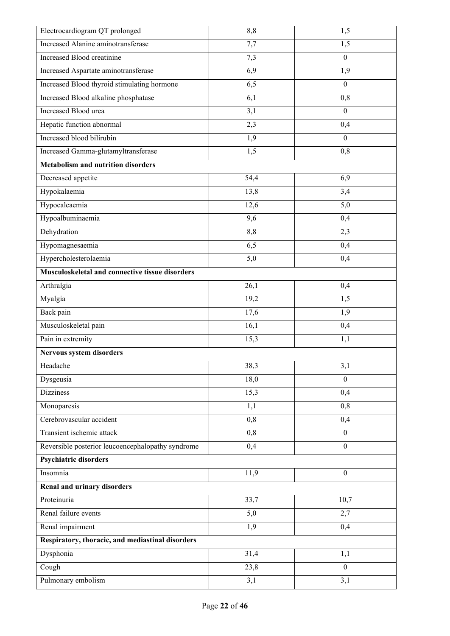| Electrocardiogram QT prolonged                    | 8,8  | 1,5              |
|---------------------------------------------------|------|------------------|
| Increased Alanine aminotransferase                | 7,7  | 1,5              |
| Increased Blood creatinine                        | 7,3  | $\mathbf{0}$     |
| Increased Aspartate aminotransferase              | 6,9  | 1,9              |
| Increased Blood thyroid stimulating hormone       | 6,5  | $\boldsymbol{0}$ |
| Increased Blood alkaline phosphatase              | 6,1  | 0,8              |
| Increased Blood urea                              | 3,1  | $\mathbf{0}$     |
| Hepatic function abnormal                         | 2,3  | 0,4              |
| Increased blood bilirubin                         | 1,9  | $\boldsymbol{0}$ |
| Increased Gamma-glutamyltransferase               | 1,5  | 0,8              |
| <b>Metabolism and nutrition disorders</b>         |      |                  |
| Decreased appetite                                | 54,4 | 6,9              |
| Hypokalaemia                                      | 13,8 | 3,4              |
| Hypocalcaemia                                     | 12,6 | 5,0              |
| Hypoalbuminaemia                                  | 9,6  | 0,4              |
| Dehydration                                       | 8,8  | 2,3              |
| Hypomagnesaemia                                   | 6,5  | 0,4              |
| Hypercholesterolaemia                             | 5,0  | 0,4              |
| Musculoskeletal and connective tissue disorders   |      |                  |
| Arthralgia                                        | 26,1 | 0,4              |
| Myalgia                                           | 19,2 | 1,5              |
| Back pain                                         | 17,6 | 1,9              |
| Musculoskeletal pain                              | 16,1 | 0,4              |
| Pain in extremity                                 | 15,3 | 1,1              |
| Nervous system disorders                          |      |                  |
| Headache                                          | 38,3 | 3,1              |
| Dysgeusia                                         | 18,0 | $\theta$         |
| <b>Dizziness</b>                                  | 15,3 | 0,4              |
| Monoparesis                                       | 1,1  | 0,8              |
| Cerebrovascular accident                          | 0,8  | 0,4              |
| Transient ischemic attack                         | 0,8  | $\mathbf{0}$     |
| Reversible posterior leucoencephalopathy syndrome | 0,4  | $\overline{0}$   |
| <b>Psychiatric disorders</b>                      |      |                  |
| Insomnia                                          | 11,9 | $\mathbf{0}$     |
| Renal and urinary disorders                       |      |                  |
| Proteinuria                                       | 33,7 | 10,7             |
| Renal failure events                              | 5,0  | 2,7              |
| Renal impairment                                  | 1,9  | 0,4              |
| Respiratory, thoracic, and mediastinal disorders  |      |                  |
| Dysphonia                                         | 31,4 | 1,1              |
| Cough                                             | 23,8 | $\mathbf{0}$     |
| Pulmonary embolism                                | 3,1  | 3,1              |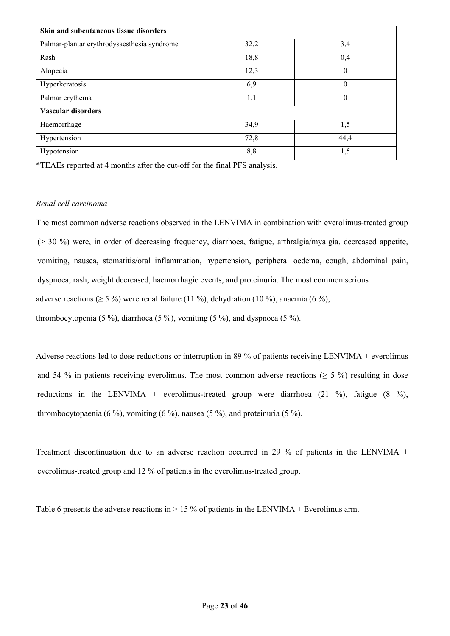| Skin and subcutaneous tissue disorders      |      |                |  |  |
|---------------------------------------------|------|----------------|--|--|
| Palmar-plantar erythrodysaesthesia syndrome | 32,2 | 3,4            |  |  |
| Rash                                        | 18,8 | 0,4            |  |  |
| Alopecia                                    | 12,3 | $\theta$       |  |  |
| Hyperkeratosis                              | 6,9  | $\overline{0}$ |  |  |
| Palmar erythema                             | 1,1  | $\theta$       |  |  |
| Vascular disorders                          |      |                |  |  |
| Haemorrhage                                 | 34,9 | 1,5            |  |  |
| Hypertension                                | 72,8 | 44,4           |  |  |
| Hypotension                                 | 8,8  | 1,5            |  |  |

\*TEAEs reported at 4 months after the cut-off for the final PFS analysis.

# *Renal cell carcinoma*

The most common adverse reactions observed in the LENVIMA in combination with everolimus-treated group (> 30 %) were, in order of decreasing frequency, diarrhoea, fatigue, arthralgia/myalgia, decreased appetite, vomiting, nausea, stomatitis/oral inflammation, hypertension, peripheral oedema, cough, abdominal pain, dyspnoea, rash, weight decreased, haemorrhagic events, and proteinuria. The most common serious adverse reactions ( $\geq$  5 %) were renal failure (11 %), dehydration (10 %), anaemia (6 %), thrombocytopenia (5 %), diarrhoea (5 %), vomiting (5 %), and dyspnoea (5 %).

Adverse reactions led to dose reductions or interruption in 89 % of patients receiving LENVIMA + everolimus and 54 % in patients receiving everolimus. The most common adverse reactions ( $\geq$  5 %) resulting in dose reductions in the LENVIMA + everolimus-treated group were diarrhoea  $(21 \%)$ , fatigue  $(8 \%)$ , thrombocytopaenia (6 %), vomiting (6 %), nausea (5 %), and proteinuria (5 %).

Treatment discontinuation due to an adverse reaction occurred in 29 % of patients in the LENVIMA + everolimus-treated group and 12 % of patients in the everolimus-treated group.

Table 6 presents the adverse reactions in  $> 15\%$  of patients in the LENVIMA + Everolimus arm.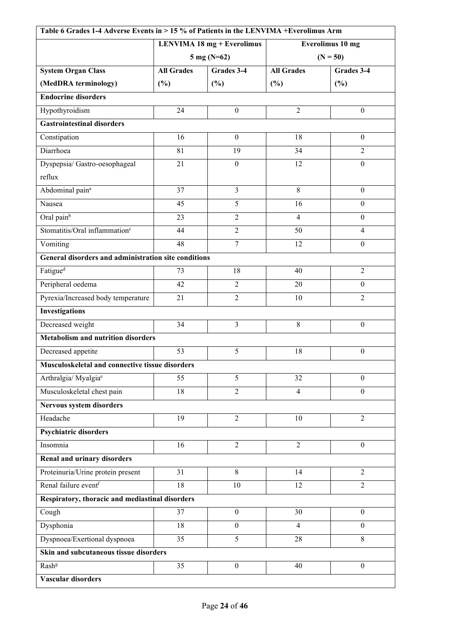| Table 6 Grades 1-4 Adverse Events in > 15 % of Patients in the LENVIMA + Everolimus Arm |                                   |                  |                         |                  |
|-----------------------------------------------------------------------------------------|-----------------------------------|------------------|-------------------------|------------------|
|                                                                                         | <b>LENVIMA 18 mg + Everolimus</b> |                  | <b>Everolimus 10 mg</b> |                  |
|                                                                                         | $5 \text{ mg} (N=62)$             |                  | $(N = 50)$              |                  |
| <b>System Organ Class</b>                                                               | <b>All Grades</b>                 | Grades 3-4       | <b>All Grades</b>       | Grades 3-4       |
| (MedDRA terminology)                                                                    | $(\%)$                            | $(\%)$           | (%)                     | (%)              |
| <b>Endocrine disorders</b>                                                              |                                   |                  |                         |                  |
| Hypothyroidism                                                                          | 24                                | $\boldsymbol{0}$ | $\overline{2}$          | $\boldsymbol{0}$ |
| <b>Gastrointestinal disorders</b>                                                       |                                   |                  |                         |                  |
| Constipation                                                                            | 16                                | $\boldsymbol{0}$ | 18                      | $\boldsymbol{0}$ |
| Diarrhoea                                                                               | 81                                | 19               | 34                      | $\overline{2}$   |
| Dyspepsia/ Gastro-oesophageal                                                           | 21                                | $\boldsymbol{0}$ | 12                      | $\boldsymbol{0}$ |
| reflux                                                                                  |                                   |                  |                         |                  |
| Abdominal pain <sup>a</sup>                                                             | 37                                | $\overline{3}$   | 8                       | $\mathbf{0}$     |
| Nausea                                                                                  | 45                                | 5                | 16                      | $\boldsymbol{0}$ |
| Oral pain <sup>b</sup>                                                                  | 23                                | $\overline{2}$   | $\overline{4}$          | $\boldsymbol{0}$ |
| Stomatitis/Oral inflammation <sup>c</sup>                                               | 44                                | $\overline{2}$   | 50                      | $\overline{4}$   |
| Vomiting                                                                                | 48                                | $\overline{7}$   | 12                      | $\boldsymbol{0}$ |
| General disorders and administration site conditions                                    |                                   |                  |                         |                  |
| Fatigue <sup>d</sup>                                                                    | 73                                | 18               | 40                      | $\overline{2}$   |
| Peripheral oedema                                                                       | 42                                | $\overline{2}$   | 20                      | $\mathbf{0}$     |
| Pyrexia/Increased body temperature                                                      | 21                                | $\overline{2}$   | 10                      | $\overline{2}$   |
| Investigations                                                                          |                                   |                  |                         |                  |
| Decreased weight                                                                        | 34                                | $\overline{3}$   | 8                       | $\boldsymbol{0}$ |
| <b>Metabolism and nutrition disorders</b>                                               |                                   |                  |                         |                  |
| Decreased appetite                                                                      | 53                                | 5                | 18                      | $\boldsymbol{0}$ |
| Musculoskeletal and connective tissue disorders                                         |                                   |                  |                         |                  |
| Arthralgia/ Myalgia <sup>e</sup>                                                        | 55                                | 5                | $\overline{32}$         | $\overline{0}$   |
| Musculoskeletal chest pain                                                              | 18                                | $\overline{2}$   | $\overline{4}$          | $\boldsymbol{0}$ |
| Nervous system disorders                                                                |                                   |                  |                         |                  |
| Headache                                                                                | 19                                | $\overline{2}$   | 10                      | $\overline{2}$   |
| <b>Psychiatric disorders</b>                                                            |                                   |                  |                         |                  |
| Insomnia                                                                                | 16                                | $\overline{2}$   | $\overline{2}$          | $\boldsymbol{0}$ |
| Renal and urinary disorders                                                             |                                   |                  |                         |                  |
| Proteinuria/Urine protein present                                                       | 31                                | 8                | 14                      | $\overline{2}$   |
| Renal failure eventf                                                                    | 18                                | 10               | 12                      | $\overline{2}$   |
| Respiratory, thoracic and mediastinal disorders                                         |                                   |                  |                         |                  |
| Cough                                                                                   | 37                                | $\boldsymbol{0}$ | 30                      | $\boldsymbol{0}$ |
| Dysphonia                                                                               | 18                                | $\boldsymbol{0}$ | $\overline{4}$          | $\theta$         |
| Dyspnoea/Exertional dyspnoea                                                            | 35                                | $\overline{5}$   | 28                      | 8                |
| Skin and subcutaneous tissue disorders                                                  |                                   |                  |                         |                  |
| Rash <sup>g</sup>                                                                       | 35                                | $\boldsymbol{0}$ | 40                      | $\boldsymbol{0}$ |
| Vascular disorders                                                                      |                                   |                  |                         |                  |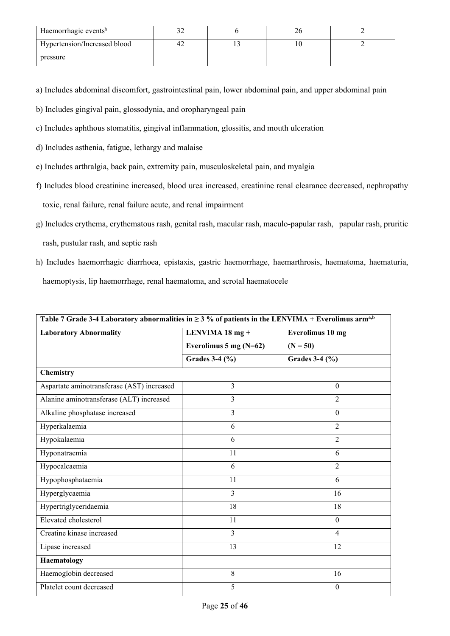| Haemorrhagic eventsh         |    | ∠∪ |  |
|------------------------------|----|----|--|
| Hypertension/Increased blood | Գ∠ |    |  |
| pressure                     |    |    |  |

a) Includes abdominal discomfort, gastrointestinal pain, lower abdominal pain, and upper abdominal pain

- b) Includes gingival pain, glossodynia, and oropharyngeal pain
- c) Includes aphthous stomatitis, gingival inflammation, glossitis, and mouth ulceration
- d) Includes asthenia, fatigue, lethargy and malaise
- e) Includes arthralgia, back pain, extremity pain, musculoskeletal pain, and myalgia
- f) Includes blood creatinine increased, blood urea increased, creatinine renal clearance decreased, nephropathy toxic, renal failure, renal failure acute, and renal impairment
- g) Includes erythema, erythematous rash, genital rash, macular rash, maculo-papular rash, papular rash, pruritic rash, pustular rash, and septic rash
- h) Includes haemorrhagic diarrhoea, epistaxis, gastric haemorrhage, haemarthrosis, haematoma, haematuria, haemoptysis, lip haemorrhage, renal haematoma, and scrotal haematocele

| Table 7 Grade 3-4 Laboratory abnormalities in $\geq$ 3 % of patients in the LENVIMA + Everolimus arm <sup>a,b</sup> |                                     |                  |  |  |
|---------------------------------------------------------------------------------------------------------------------|-------------------------------------|------------------|--|--|
| <b>Laboratory Abnormality</b>                                                                                       | LENVIMA 18 mg +<br>Everolimus 10 mg |                  |  |  |
|                                                                                                                     | Everolimus 5 mg $(N=62)$            | $(N = 50)$       |  |  |
|                                                                                                                     | Grades $3-4$ (%)                    | Grades $3-4$ (%) |  |  |
| Chemistry                                                                                                           |                                     |                  |  |  |
| Aspartate aminotransferase (AST) increased                                                                          | 3                                   | $\mathbf{0}$     |  |  |
| Alanine aminotransferase (ALT) increased                                                                            | 3                                   | $\overline{2}$   |  |  |
| Alkaline phosphatase increased                                                                                      | 3                                   | $\theta$         |  |  |
| Hyperkalaemia                                                                                                       | 6                                   | $\overline{2}$   |  |  |
| Hypokalaemia                                                                                                        | 6                                   | $\overline{2}$   |  |  |
| Hyponatraemia                                                                                                       | 11                                  | 6                |  |  |
| Hypocalcaemia                                                                                                       | 6                                   | $\overline{2}$   |  |  |
| Hypophosphataemia                                                                                                   | 11                                  | 6                |  |  |
| Hyperglycaemia                                                                                                      | 3                                   | 16               |  |  |
| Hypertriglyceridaemia                                                                                               | 18                                  | 18               |  |  |
| Elevated cholesterol                                                                                                | 11                                  | $\mathbf{0}$     |  |  |
| Creatine kinase increased                                                                                           | 3                                   | $\overline{4}$   |  |  |
| Lipase increased                                                                                                    | 13                                  | 12               |  |  |
| Haematology                                                                                                         |                                     |                  |  |  |
| Haemoglobin decreased                                                                                               | 8                                   | 16               |  |  |
| Platelet count decreased                                                                                            | 5                                   | $\mathbf{0}$     |  |  |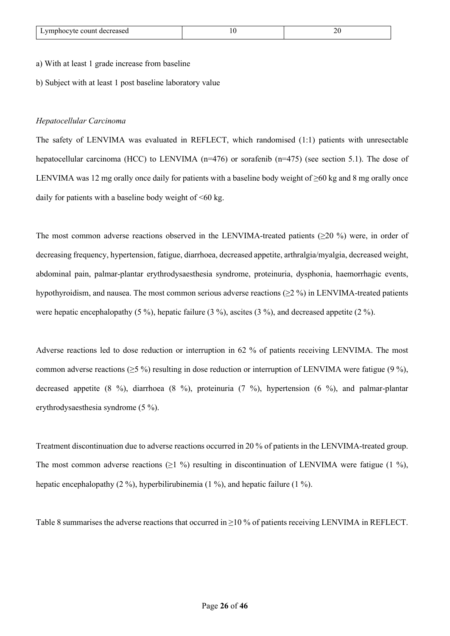#### a) With at least 1 grade increase from baseline

b) Subject with at least 1 post baseline laboratory value

## *Hepatocellular Carcinoma*

The safety of LENVIMA was evaluated in REFLECT, which randomised (1:1) patients with unresectable hepatocellular carcinoma (HCC) to LENVIMA (n=476) or sorafenib (n=475) (see section 5.1). The dose of LENVIMA was 12 mg orally once daily for patients with a baseline body weight of  $\geq 60$  kg and 8 mg orally once daily for patients with a baseline body weight of  $\leq 60$  kg.

The most common adverse reactions observed in the LENVIMA-treated patients  $(>= 20 \%)$  were, in order of decreasing frequency, hypertension, fatigue, diarrhoea, decreased appetite, arthralgia/myalgia, decreased weight, abdominal pain, palmar-plantar erythrodysaesthesia syndrome, proteinuria, dysphonia, haemorrhagic events, hypothyroidism, and nausea. The most common serious adverse reactions (≥2 %) in LENVIMA-treated patients were hepatic encephalopathy (5 %), hepatic failure (3 %), ascites (3 %), and decreased appetite (2 %).

Adverse reactions led to dose reduction or interruption in 62 % of patients receiving LENVIMA. The most common adverse reactions ( $\geq$ 5 %) resulting in dose reduction or interruption of LENVIMA were fatigue (9 %), decreased appetite (8 %), diarrhoea (8 %), proteinuria (7 %), hypertension (6 %), and palmar-plantar erythrodysaesthesia syndrome (5 %).

Treatment discontinuation due to adverse reactions occurred in 20 % of patients in the LENVIMA-treated group. The most common adverse reactions ( $\geq 1\%$ ) resulting in discontinuation of LENVIMA were fatigue (1 %), hepatic encephalopathy (2 %), hyperbilirubinemia (1 %), and hepatic failure (1 %).

Table 8 summarises the adverse reactions that occurred in  $\geq 10\%$  of patients receiving LENVIMA in REFLECT.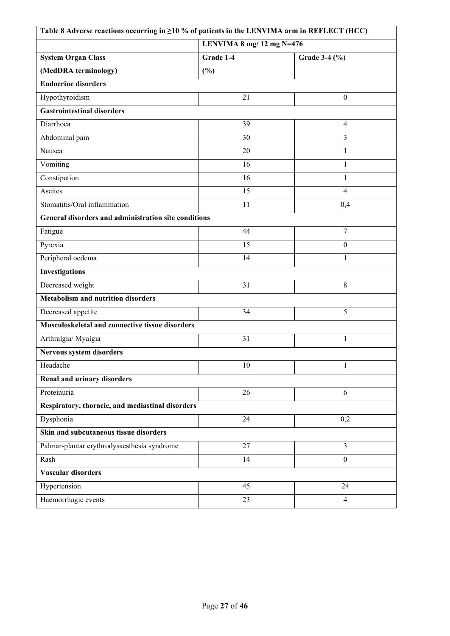| Table 8 Adverse reactions occurring in ≥10 % of patients in the LENVIMA arm in REFLECT (HCC) |                 |                  |  |  |
|----------------------------------------------------------------------------------------------|-----------------|------------------|--|--|
| LENVIMA 8 $mg/12$ mg N=476                                                                   |                 |                  |  |  |
| <b>System Organ Class</b>                                                                    | Grade 1-4       | Grade 3-4 (%)    |  |  |
| (MedDRA terminology)                                                                         | (%)             |                  |  |  |
| <b>Endocrine disorders</b>                                                                   |                 |                  |  |  |
| Hypothyroidism                                                                               | 21              | $\boldsymbol{0}$ |  |  |
| <b>Gastrointestinal disorders</b>                                                            |                 |                  |  |  |
| Diarrhoea                                                                                    | 39              | $\overline{4}$   |  |  |
| Abdominal pain                                                                               | 30              | $\overline{3}$   |  |  |
| Nausea                                                                                       | 20              | $\mathbf{1}$     |  |  |
| Vomiting                                                                                     | 16              | $\mathbf{1}$     |  |  |
| Constipation                                                                                 | 16              | $\mathbf{1}$     |  |  |
| Ascites                                                                                      | 15              | 4                |  |  |
| Stomatitis/Oral inflammation                                                                 | 11              | 0,4              |  |  |
| General disorders and administration site conditions                                         |                 |                  |  |  |
| Fatigue                                                                                      | 44              | $\tau$           |  |  |
| Pyrexia                                                                                      | 15              | $\boldsymbol{0}$ |  |  |
| Peripheral oedema                                                                            | 14              | $\mathbf{1}$     |  |  |
| <b>Investigations</b>                                                                        |                 |                  |  |  |
| Decreased weight                                                                             | 31              | 8                |  |  |
| <b>Metabolism and nutrition disorders</b>                                                    |                 |                  |  |  |
| Decreased appetite                                                                           | 34              | 5                |  |  |
| Musculoskeletal and connective tissue disorders                                              |                 |                  |  |  |
| Arthralgia/ Myalgia                                                                          | 31              | $\mathbf{1}$     |  |  |
| Nervous system disorders                                                                     |                 |                  |  |  |
| Headache                                                                                     | $\overline{10}$ | $\blacksquare$   |  |  |
| Renal and urinary disorders                                                                  |                 |                  |  |  |
| Proteinuria                                                                                  | 26              | 6                |  |  |
| Respiratory, thoracic, and mediastinal disorders                                             |                 |                  |  |  |
| Dysphonia                                                                                    | 24              | 0,2              |  |  |
| Skin and subcutaneous tissue disorders                                                       |                 |                  |  |  |
| Palmar-plantar erythrodysaesthesia syndrome                                                  | 27              | $\overline{3}$   |  |  |
| Rash                                                                                         | 14              | $\boldsymbol{0}$ |  |  |
| Vascular disorders                                                                           |                 |                  |  |  |
| Hypertension                                                                                 | 45              | 24               |  |  |
| Haemorrhagic events                                                                          | 23              | $\overline{4}$   |  |  |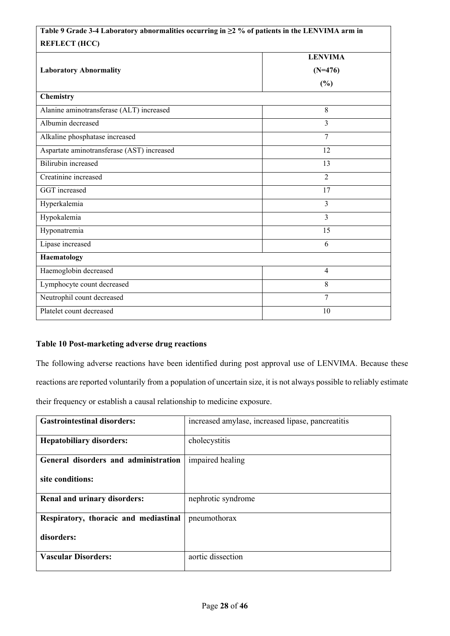# **Table 9 Grade 3-4 Laboratory abnormalities occurring in ≥2 % of patients in the LENVIMA arm in REFLECT (HCC)**

| <b>LENVIMA</b> |  |  |  |
|----------------|--|--|--|
| $(N=476)$      |  |  |  |
| $(\%)$         |  |  |  |
|                |  |  |  |
| 8              |  |  |  |
| 3              |  |  |  |
| $\overline{7}$ |  |  |  |
| 12             |  |  |  |
| 13             |  |  |  |
| $\overline{2}$ |  |  |  |
| 17             |  |  |  |
| $\overline{3}$ |  |  |  |
| $\overline{3}$ |  |  |  |
| 15             |  |  |  |
| 6              |  |  |  |
| Haematology    |  |  |  |
| $\overline{4}$ |  |  |  |
| 8              |  |  |  |
| 7              |  |  |  |
| 10             |  |  |  |
|                |  |  |  |

# **Table 10 Post-marketing adverse drug reactions**

The following adverse reactions have been identified during post approval use of LENVIMA. Because these reactions are reported voluntarily from a population of uncertain size, it is not always possible to reliably estimate their frequency or establish a causal relationship to medicine exposure.

| <b>Gastrointestinal disorders:</b>    | increased amylase, increased lipase, pancreatitis |
|---------------------------------------|---------------------------------------------------|
| <b>Hepatobiliary disorders:</b>       | cholecystitis                                     |
| General disorders and administration  | impaired healing                                  |
| site conditions:                      |                                                   |
| Renal and urinary disorders:          | nephrotic syndrome                                |
| Respiratory, thoracic and mediastinal | pneumothorax                                      |
| disorders:                            |                                                   |
| <b>Vascular Disorders:</b>            | aortic dissection                                 |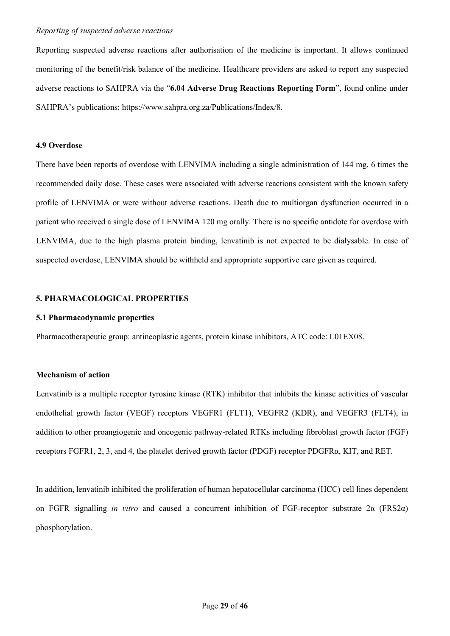Reporting suspected adverse reactions after authorisation of the medicine is important. It allows continued monitoring of the benefit/risk balance of the medicine. Healthcare providers are asked to report any suspected adverse reactions to SAHPRA via the "**6.04 Adverse Drug Reactions Reporting Form**", found online under SAHPRA's publications: https://www.sahpra.org.za/Publications/Index/8.

## **4.9 Overdose**

There have been reports of overdose with LENVIMA including a single administration of 144 mg, 6 times the recommended daily dose. These cases were associated with adverse reactions consistent with the known safety profile of LENVIMA or were without adverse reactions. Death due to multiorgan dysfunction occurred in a patient who received a single dose of LENVIMA 120 mg orally. There is no specific antidote for overdose with LENVIMA, due to the high plasma protein binding, lenvatinib is not expected to be dialysable. In case of suspected overdose, LENVIMA should be withheld and appropriate supportive care given as required.

# **5. PHARMACOLOGICAL PROPERTIES**

## **5.1 Pharmacodynamic properties**

Pharmacotherapeutic group: antineoplastic agents, protein kinase inhibitors, ATC code: L01EX08.

## **Mechanism of action**

Lenvatinib is a multiple receptor tyrosine kinase (RTK) inhibitor that inhibits the kinase activities of vascular endothelial growth factor (VEGF) receptors VEGFR1 (FLT1), VEGFR2 (KDR), and VEGFR3 (FLT4), in addition to other proangiogenic and oncogenic pathway-related RTKs including fibroblast growth factor (FGF) receptors FGFR1, 2, 3, and 4, the platelet derived growth factor (PDGF) receptor PDGFRα, KIT, and RET.

In addition, lenvatinib inhibited the proliferation of human hepatocellular carcinoma (HCC) cell lines dependent on FGFR signalling *in vitro* and caused a concurrent inhibition of FGF-receptor substrate 2α (FRS2α) phosphorylation.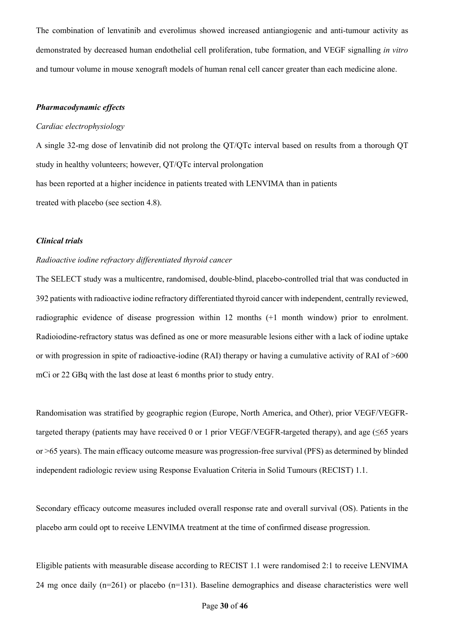The combination of lenvatinib and everolimus showed increased antiangiogenic and anti-tumour activity as demonstrated by decreased human endothelial cell proliferation, tube formation, and VEGF signalling *in vitro*  and tumour volume in mouse xenograft models of human renal cell cancer greater than each medicine alone.

# *Pharmacodynamic effects*

## *Cardiac electrophysiology*

A single 32-mg dose of lenvatinib did not prolong the QT/QTc interval based on results from a thorough QT study in healthy volunteers; however, QT/QTc interval prolongation has been reported at a higher incidence in patients treated with LENVIMA than in patients treated with placebo (see section 4.8).

## *Clinical trials*

# *Radioactive iodine refractory differentiated thyroid cancer*

The SELECT study was a multicentre, randomised, double-blind, placebo-controlled trial that was conducted in 392 patients with radioactive iodine refractory differentiated thyroid cancer with independent, centrally reviewed, radiographic evidence of disease progression within 12 months (+1 month window) prior to enrolment. Radioiodine-refractory status was defined as one or more measurable lesions either with a lack of iodine uptake or with progression in spite of radioactive-iodine (RAI) therapy or having a cumulative activity of RAI of >600 mCi or 22 GBq with the last dose at least 6 months prior to study entry.

Randomisation was stratified by geographic region (Europe, North America, and Other), prior VEGF/VEGFRtargeted therapy (patients may have received 0 or 1 prior VEGF/VEGFR-targeted therapy), and age  $(\leq 65$  years or >65 years). The main efficacy outcome measure was progression-free survival (PFS) as determined by blinded independent radiologic review using Response Evaluation Criteria in Solid Tumours (RECIST) 1.1.

Secondary efficacy outcome measures included overall response rate and overall survival (OS). Patients in the placebo arm could opt to receive LENVIMA treatment at the time of confirmed disease progression.

Eligible patients with measurable disease according to RECIST 1.1 were randomised 2:1 to receive LENVIMA 24 mg once daily (n=261) or placebo (n=131). Baseline demographics and disease characteristics were well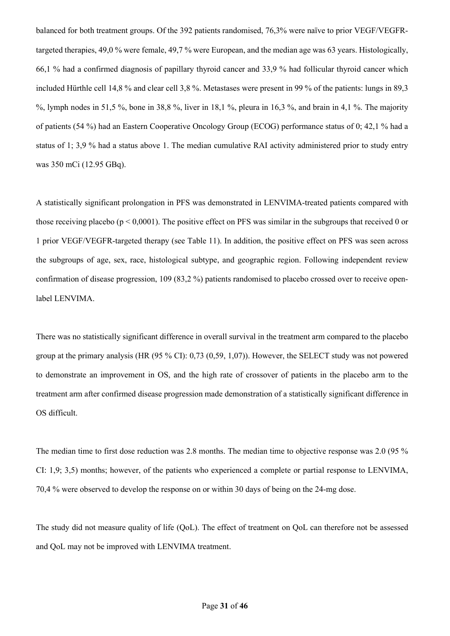balanced for both treatment groups. Of the 392 patients randomised, 76,3% were naïve to prior VEGF/VEGFRtargeted therapies, 49,0 % were female, 49,7 % were European, and the median age was 63 years. Histologically, 66,1 % had a confirmed diagnosis of papillary thyroid cancer and 33,9 % had follicular thyroid cancer which included Hürthle cell 14,8 % and clear cell 3,8 %. Metastases were present in 99 % of the patients: lungs in 89,3 %, lymph nodes in 51,5 %, bone in 38,8 %, liver in 18,1 %, pleura in 16,3 %, and brain in 4,1 %. The majority of patients (54 %) had an Eastern Cooperative Oncology Group (ECOG) performance status of 0; 42,1 % had a status of 1; 3,9 % had a status above 1. The median cumulative RAI activity administered prior to study entry was 350 mCi (12.95 GBq).

A statistically significant prolongation in PFS was demonstrated in LENVIMA-treated patients compared with those receiving placebo ( $p \le 0.0001$ ). The positive effect on PFS was similar in the subgroups that received 0 or 1 prior VEGF/VEGFR-targeted therapy (see Table 11). In addition, the positive effect on PFS was seen across the subgroups of age, sex, race, histological subtype, and geographic region. Following independent review confirmation of disease progression, 109 (83,2 %) patients randomised to placebo crossed over to receive openlabel LENVIMA.

There was no statistically significant difference in overall survival in the treatment arm compared to the placebo group at the primary analysis (HR (95 % CI): 0,73 (0,59, 1,07)). However, the SELECT study was not powered to demonstrate an improvement in OS, and the high rate of crossover of patients in the placebo arm to the treatment arm after confirmed disease progression made demonstration of a statistically significant difference in OS difficult.

The median time to first dose reduction was 2.8 months. The median time to objective response was 2.0 (95 % CI: 1,9; 3,5) months; however, of the patients who experienced a complete or partial response to LENVIMA, 70,4 % were observed to develop the response on or within 30 days of being on the 24-mg dose.

The study did not measure quality of life (QoL). The effect of treatment on QoL can therefore not be assessed and QoL may not be improved with LENVIMA treatment.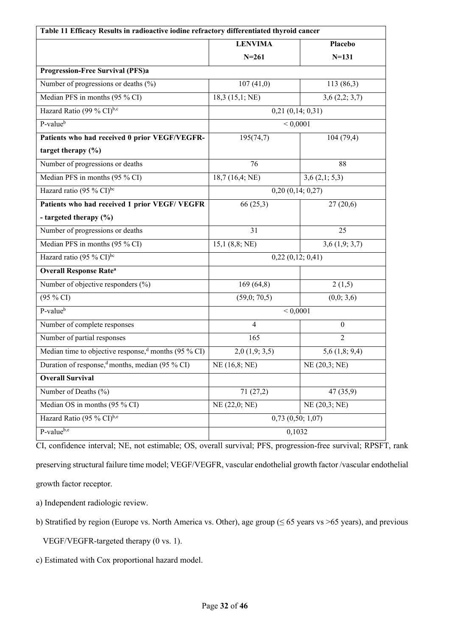| Table 11 Efficacy Results in radioactive iodine refractory differentiated thyroid cancer |                           |                    |  |
|------------------------------------------------------------------------------------------|---------------------------|--------------------|--|
|                                                                                          | <b>LENVIMA</b><br>Placebo |                    |  |
|                                                                                          | $N = 261$                 | $N = 131$          |  |
| <b>Progression-Free Survival (PFS)a</b>                                                  |                           |                    |  |
| Number of progressions or deaths (%)                                                     | 107(41,0)                 | 113(86,3)          |  |
| Median PFS in months (95 % CI)                                                           | 18,3(15,1;NE)             | 3,6(2,2;3,7)       |  |
| Hazard Ratio (99 % CI) <sup>b,c</sup>                                                    | $0,21$ $(0,14; 0,31)$     |                    |  |
| P-value <sup>b</sup>                                                                     |                           | ${}< 0,0001$       |  |
| Patients who had received 0 prior VEGF/VEGFR-                                            | 195(74,7)                 | 104(79,4)          |  |
| target therapy $(\% )$                                                                   |                           |                    |  |
| Number of progressions or deaths                                                         | 76                        | 88                 |  |
| Median PFS in months (95 % CI)                                                           | 18,7(16,4;NE)             | 3,6(2,1; 5,3)      |  |
| Hazard ratio (95 % CI)bc                                                                 |                           | 0,20(0,14;0,27)    |  |
| Patients who had received 1 prior VEGF/ VEGFR                                            | 66(25,3)                  | 27(20,6)           |  |
| - targeted therapy (%)                                                                   |                           |                    |  |
| Number of progressions or deaths                                                         | 31                        | 25                 |  |
| Median PFS in months (95 % CI)                                                           | 15,1(8,8; NE)             | $3,6$ $(1,9; 3,7)$ |  |
| Hazard ratio (95 % CI) <sup>bc</sup>                                                     |                           | 0,22(0,12;0,41)    |  |
| <b>Overall Response Rate<sup>a</sup></b>                                                 |                           |                    |  |
| Number of objective responders (%)                                                       | 169(64,8)                 | 2(1,5)             |  |
| (95 % CI)                                                                                | (59,0;70,5)               | (0,0; 3,6)         |  |
| P-value <sup>b</sup>                                                                     |                           | < 0,0001           |  |
| Number of complete responses                                                             | $\overline{4}$            | $\boldsymbol{0}$   |  |
| Number of partial responses                                                              | 165                       | $\overline{2}$     |  |
| Median time to objective response, months (95 % CI)                                      | $2,0$ $(1,9; 3,5)$        | $5,6$ $(1,8; 9,4)$ |  |
| Duration of response, months, median (95 % CI)                                           | NE(16, 8; NE)             | NE(20,3; NE)       |  |
| <b>Overall Survival</b>                                                                  |                           |                    |  |
| Number of Deaths (%)                                                                     | 71(27,2)                  | 47(35,9)           |  |
| Median OS in months (95 % CI)                                                            | NE(22,0; NE)              | NE (20,3; NE)      |  |
| Hazard Ratio (95 % CI) <sup>b,e</sup>                                                    | $0,73$ $(0,50; 1,07)$     |                    |  |
| P-valueb,e                                                                               | 0,1032                    |                    |  |

CI, confidence interval; NE, not estimable; OS, overall survival; PFS, progression-free survival; RPSFT, rank preserving structural failure time model; VEGF/VEGFR, vascular endothelial growth factor /vascular endothelial growth factor receptor.

a) Independent radiologic review.

b) Stratified by region (Europe vs. North America vs. Other), age group (≤ 65 years vs >65 years), and previous

VEGF/VEGFR-targeted therapy (0 vs. 1).

c) Estimated with Cox proportional hazard model.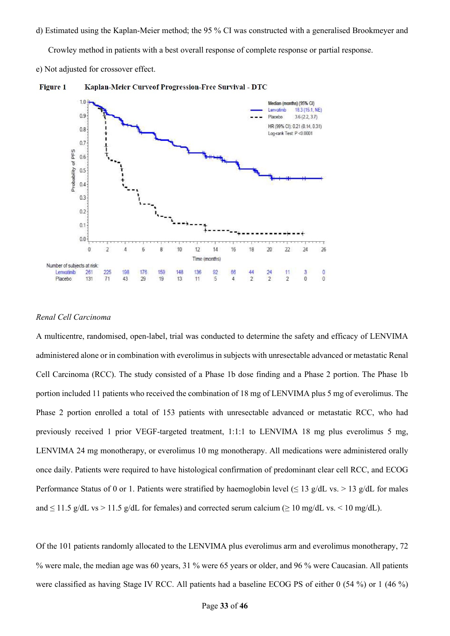d) Estimated using the Kaplan-Meier method; the 95 % CI was constructed with a generalised Brookmeyer and

Crowley method in patients with a best overall response of complete response or partial response.

e) Not adjusted for crossover effect.





## *Renal Cell Carcinoma*

A multicentre, randomised, open-label, trial was conducted to determine the safety and efficacy of LENVIMA administered alone or in combination with everolimus in subjects with unresectable advanced or metastatic Renal Cell Carcinoma (RCC). The study consisted of a Phase 1b dose finding and a Phase 2 portion. The Phase 1b portion included 11 patients who received the combination of 18 mg of LENVIMA plus 5 mg of everolimus. The Phase 2 portion enrolled a total of 153 patients with unresectable advanced or metastatic RCC, who had previously received 1 prior VEGF-targeted treatment, 1:1:1 to LENVIMA 18 mg plus everolimus 5 mg, LENVIMA 24 mg monotherapy, or everolimus 10 mg monotherapy. All medications were administered orally once daily. Patients were required to have histological confirmation of predominant clear cell RCC, and ECOG Performance Status of 0 or 1. Patients were stratified by haemoglobin level ( $\leq 13$  g/dL vs. > 13 g/dL for males and  $\leq$  11.5 g/dL vs > 11.5 g/dL for females) and corrected serum calcium ( $\geq$  10 mg/dL vs. < 10 mg/dL).

Of the 101 patients randomly allocated to the LENVIMA plus everolimus arm and everolimus monotherapy, 72 % were male, the median age was 60 years, 31 % were 65 years or older, and 96 % were Caucasian. All patients were classified as having Stage IV RCC. All patients had a baseline ECOG PS of either 0 (54 %) or 1 (46 %)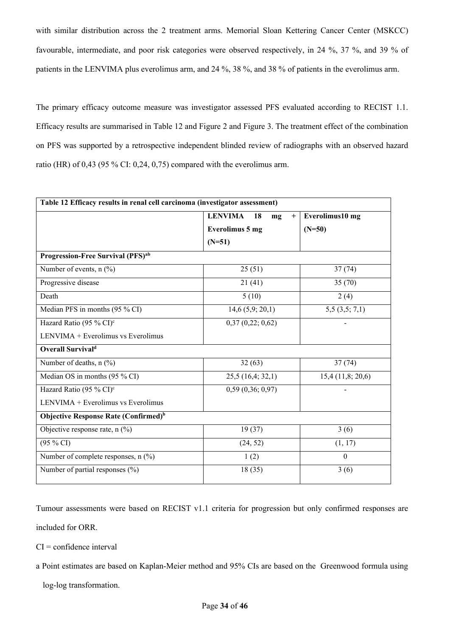with similar distribution across the 2 treatment arms. Memorial Sloan Kettering Cancer Center (MSKCC) favourable, intermediate, and poor risk categories were observed respectively, in 24 %, 37 %, and 39 % of patients in the LENVIMA plus everolimus arm, and 24 %, 38 %, and 38 % of patients in the everolimus arm.

The primary efficacy outcome measure was investigator assessed PFS evaluated according to RECIST 1.1. Efficacy results are summarised in Table 12 and Figure 2 and Figure 3. The treatment effect of the combination on PFS was supported by a retrospective independent blinded review of radiographs with an observed hazard ratio (HR) of 0,43 (95 % CI: 0,24, 0,75) compared with the everolimus arm.

| Table 12 Efficacy results in renal cell carcinoma (investigator assessment) |                                   |                 |  |  |
|-----------------------------------------------------------------------------|-----------------------------------|-----------------|--|--|
|                                                                             | <b>LENVIMA</b><br>18<br>$+$<br>mg | Everolimus10 mg |  |  |
|                                                                             | <b>Everolimus 5 mg</b>            | $(N=50)$        |  |  |
|                                                                             | $(N=51)$                          |                 |  |  |
| Progression-Free Survival (PFS) <sup>ab</sup>                               |                                   |                 |  |  |
| Number of events, $n$ (%)                                                   | 25(51)                            | 37(74)          |  |  |
| Progressive disease                                                         | 21(41)                            | 35(70)          |  |  |
| Death                                                                       | 5(10)                             | 2(4)            |  |  |
| Median PFS in months (95 % CI)                                              | 14,6(5,9; 20,1)                   | 5,5(3,5;7,1)    |  |  |
| Hazard Ratio (95 % CI) <sup>c</sup>                                         | 0,37(0,22;0,62)                   |                 |  |  |
| LENVIMA + Everolimus vs Everolimus                                          |                                   |                 |  |  |
| <b>Overall Survivald</b>                                                    |                                   |                 |  |  |
| Number of deaths, n (%)                                                     | 32(63)                            | 37(74)          |  |  |
| Median OS in months (95 % CI)                                               | 25,5(16,4;32,1)                   | 15,4(11,8;20,6) |  |  |
| Hazard Ratio (95 % CI) <sup>c</sup>                                         | 0,59(0,36;0,97)                   |                 |  |  |
| $LENVIMA + Everolimus vs Everolimus$                                        |                                   |                 |  |  |
| Objective Response Rate (Confirmed) <sup>b</sup>                            |                                   |                 |  |  |
| Objective response rate, n (%)                                              | 19(37)                            | 3(6)            |  |  |
| $(95\% \text{ CI})$                                                         | (24, 52)                          | (1, 17)         |  |  |
| Number of complete responses, $n$ (%)                                       | 1(2)                              | $\Omega$        |  |  |
| Number of partial responses (%)                                             | 18(35)                            | 3(6)            |  |  |

Tumour assessments were based on RECIST v1.1 criteria for progression but only confirmed responses are

included for ORR.

 $CI =$  confidence interval

a Point estimates are based on Kaplan-Meier method and 95% CIs are based on the Greenwood formula using

log-log transformation.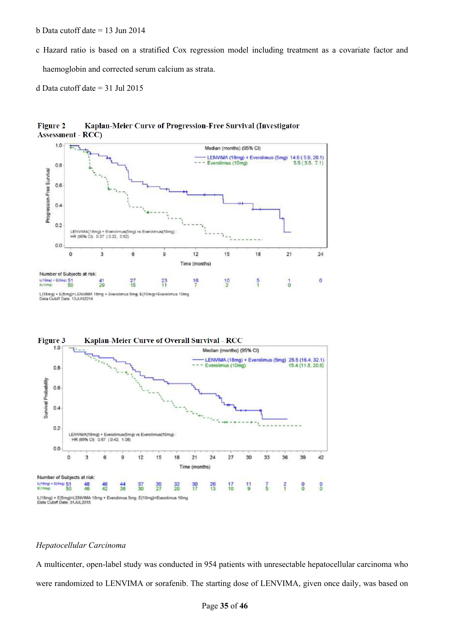- b Data cutoff date = 13 Jun 2014
- c Hazard ratio is based on a stratified Cox regression model including treatment as a covariate factor and

haemoglobin and corrected serum calcium as strata.

d Data cutoff date = 31 Jul 2015



Kaplan-Meier Curve of Progression-Free Survival (Investigator **Figure 2 Assessment**  $RCC$ 

L(18mg) + E(5mg)=LENVIMA 18<br>Data Cutoff Date: 13JUN2014 us Smg, E(10mg)=Everolimus 10mg Everolim ۱g



## *Hepatocellular Carcinoma*

A multicenter, open-label study was conducted in 954 patients with unresectable hepatocellular carcinoma who were randomized to LENVIMA or sorafenib. The starting dose of LENVIMA, given once daily, was based on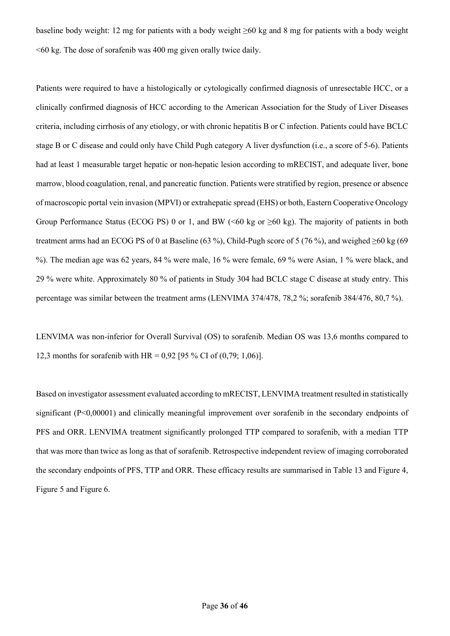baseline body weight: 12 mg for patients with a body weight ≥60 kg and 8 mg for patients with a body weight  $\leq 60$  kg. The dose of sorafenib was 400 mg given orally twice daily.

Patients were required to have a histologically or cytologically confirmed diagnosis of unresectable HCC, or a clinically confirmed diagnosis of HCC according to the American Association for the Study of Liver Diseases criteria, including cirrhosis of any etiology, or with chronic hepatitis B or C infection. Patients could have BCLC stage B or C disease and could only have Child Pugh category A liver dysfunction (i.e., a score of 5-6). Patients had at least 1 measurable target hepatic or non-hepatic lesion according to mRECIST, and adequate liver, bone marrow, blood coagulation, renal, and pancreatic function. Patients were stratified by region, presence or absence of macroscopic portal vein invasion (MPVI) or extrahepatic spread (EHS) or both, Eastern Cooperative Oncology Group Performance Status (ECOG PS) 0 or 1, and BW ( $\leq 60$  kg or  $\geq 60$  kg). The majority of patients in both treatment arms had an ECOG PS of 0 at Baseline (63 %), Child-Pugh score of 5 (76 %), and weighed  $\geq 60 \text{ kg}$  (69 %). The median age was 62 years, 84 % were male, 16 % were female, 69 % were Asian, 1 % were black, and 29 % were white. Approximately 80 % of patients in Study 304 had BCLC stage C disease at study entry. This percentage was similar between the treatment arms (LENVIMA 374/478, 78,2 %; sorafenib 384/476, 80,7 %).

LENVIMA was non-inferior for Overall Survival (OS) to sorafenib. Median OS was 13,6 months compared to 12,3 months for sorafenib with HR = 0,92 [95 % CI of (0,79; 1,06)].

Based on investigator assessment evaluated according to mRECIST, LENVIMA treatment resulted in statistically significant (P<0,00001) and clinically meaningful improvement over sorafenib in the secondary endpoints of PFS and ORR. LENVIMA treatment significantly prolonged TTP compared to sorafenib, with a median TTP that was more than twice as long as that of sorafenib. Retrospective independent review of imaging corroborated the secondary endpoints of PFS, TTP and ORR. These efficacy results are summarised in Table 13 and Figure 4, Figure 5 and Figure 6.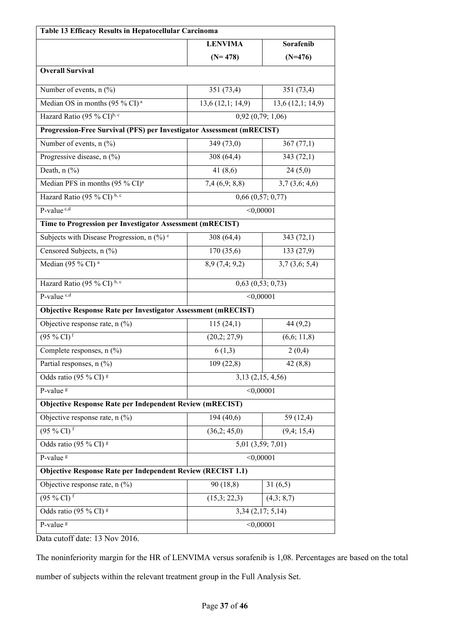| Table 13 Efficacy Results in Hepatocellular Carcinoma                 |                             |                       |  |
|-----------------------------------------------------------------------|-----------------------------|-----------------------|--|
|                                                                       | Sorafenib<br><b>LENVIMA</b> |                       |  |
|                                                                       | $(N=478)$                   | $(N=476)$             |  |
| <b>Overall Survival</b>                                               |                             |                       |  |
| Number of events, n (%)                                               | 351 (73,4)                  | 351 (73,4)            |  |
| Median OS in months (95 % CI) <sup>a</sup>                            | 13,6(12,1; 14,9)            | 13,6(12,1; 14,9)      |  |
| Hazard Ratio (95 % CI) <sup>b, c</sup>                                |                             | 0,92(0,79; 1,06)      |  |
| Progression-Free Survival (PFS) per Investigator Assessment (mRECIST) |                             |                       |  |
| Number of events, n (%)                                               | 349 (73,0)                  | 367(77,1)             |  |
| Progressive disease, n (%)                                            | 308 (64,4)                  | 343(72,1)             |  |
| Death, $n$ (%)                                                        | 41 $(8,6)$                  | 24(5,0)               |  |
| Median PFS in months (95 % CI) <sup>a</sup>                           | 7,4(6,9; 8,8)               | 3,7(3,6; 4,6)         |  |
| Hazard Ratio (95 % CI) b, c                                           |                             | $0,66$ $(0,57; 0,77)$ |  |
| P-value <sup>c,d</sup>                                                | < 0,00001                   |                       |  |
| Time to Progression per Investigator Assessment (mRECIST)             |                             |                       |  |
| Subjects with Disease Progression, $n$ (%) <sup>e</sup>               | 308 (64,4)                  | 343(72,1)             |  |
| Censored Subjects, n (%)                                              | 170 (35,6)                  | 133(27,9)             |  |
| Median (95 % CI) <sup>a</sup>                                         | 8,9(7,4;9,2)                | 3,7(3,6; 5,4)         |  |
| Hazard Ratio (95 % $\overline{CI}$ ) <sup>b, c</sup>                  |                             | $0,63$ $(0,53; 0,73)$ |  |
| P-value <sup>c,d</sup>                                                | < 0,00001                   |                       |  |
| Objective Response Rate per Investigator Assessment (mRECIST)         |                             |                       |  |
| Objective response rate, n (%)                                        | 115(24,1)                   | 44 (9,2)              |  |
| $(95\% \text{ CI})$ <sup>f</sup>                                      | (20,2; 27,9)                | (6,6; 11,8)           |  |
| Complete responses, n (%)                                             | 6(1,3)                      | 2(0,4)                |  |
| Partial responses, n (%)                                              | 109(22,8)                   | 42(8,8)               |  |
| Odds ratio (95 % CI) $\rm g$                                          |                             | $3,13$ $(2,15, 4,56)$ |  |
| P-value <sup>g</sup>                                                  | < 0,00001                   |                       |  |
| <b>Objective Response Rate per Independent Review (mRECIST)</b>       |                             |                       |  |
| Objective response rate, n (%)                                        | 194(40,6)                   | 59 (12,4)             |  |
| $(95\% \text{ CI})$ f                                                 | (36,2; 45,0)                | (9,4; 15,4)           |  |
| Odds ratio (95 % CI) $\rm{g}$                                         | 5,01 (3,59; 7,01)           |                       |  |
| P-value <sup>g</sup>                                                  | < 0,00001                   |                       |  |
| <b>Objective Response Rate per Independent Review (RECIST 1.1)</b>    |                             |                       |  |
| Objective response rate, n (%)                                        | 90 (18,8)                   | 31(6,5)               |  |
| $(95\% \text{ CI})$ f                                                 | (15,3; 22,3)                | (4,3; 8,7)            |  |
| Odds ratio (95 % CI) <sup>g</sup>                                     |                             | $3,34$ $(2,17; 5,14)$ |  |
| P-value <sup>s</sup>                                                  | < 0,00001                   |                       |  |

Data cutoff date: 13 Nov 2016.

The noninferiority margin for the HR of LENVIMA versus sorafenib is 1,08. Percentages are based on the total

number of subjects within the relevant treatment group in the Full Analysis Set.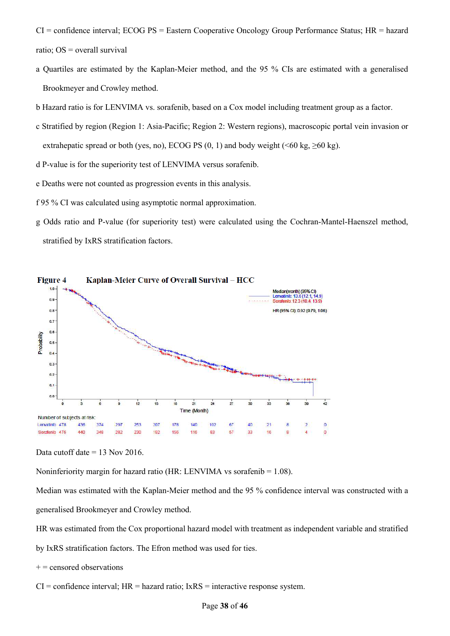- CI = confidence interval; ECOG PS = Eastern Cooperative Oncology Group Performance Status; HR = hazard ratio; OS = overall survival
- a Quartiles are estimated by the Kaplan-Meier method, and the 95 % CIs are estimated with a generalised Brookmeyer and Crowley method.
- b Hazard ratio is for LENVIMA vs. sorafenib, based on a Cox model including treatment group as a factor.
- c Stratified by region (Region 1: Asia-Pacific; Region 2: Western regions), macroscopic portal vein invasion or extrahepatic spread or both (yes, no), ECOG PS  $(0, 1)$  and body weight (<60 kg,  $\geq 60$  kg).
- d P-value is for the superiority test of LENVIMA versus sorafenib.
- e Deaths were not counted as progression events in this analysis.
- f 95 % CI was calculated using asymptotic normal approximation.
- g Odds ratio and P-value (for superiority test) were calculated using the Cochran-Mantel-Haenszel method, stratified by IxRS stratification factors.



Data cutoff date = 13 Nov 2016.

Noninferiority margin for hazard ratio (HR: LENVIMA vs sorafenib  $= 1.08$ ).

Median was estimated with the Kaplan-Meier method and the 95 % confidence interval was constructed with a generalised Brookmeyer and Crowley method.

HR was estimated from the Cox proportional hazard model with treatment as independent variable and stratified

- by IxRS stratification factors. The Efron method was used for ties.
- $+=$  censored observations
- $CI =$  confidence interval;  $HR =$  hazard ratio;  $IxRS =$  interactive response system.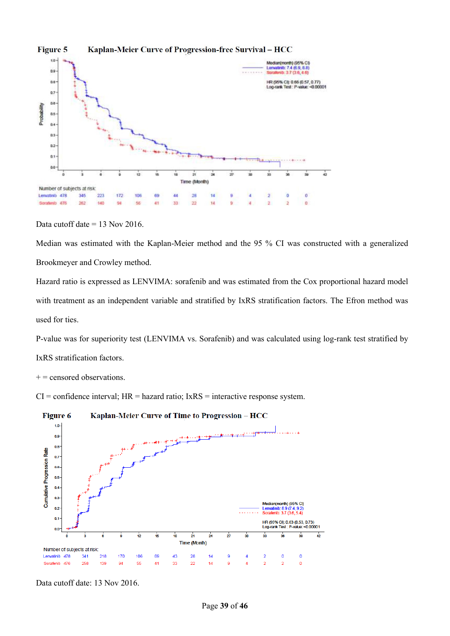

**Figure 5** Kaplan-Meier Curve of Progression-free Survival - HCC

Data cutoff date  $= 13$  Nov 2016.

Median was estimated with the Kaplan-Meier method and the 95 % CI was constructed with a generalized Brookmeyer and Crowley method.

Hazard ratio is expressed as LENVIMA: sorafenib and was estimated from the Cox proportional hazard model with treatment as an independent variable and stratified by IxRS stratification factors. The Efron method was used for ties.

P-value was for superiority test (LENVIMA vs. Sorafenib) and was calculated using log-rank test stratified by IxRS stratification factors.

 $+=$  censored observations.

 $CI =$  confidence interval;  $HR =$  hazard ratio;  $IxRS =$  interactive response system.



Data cutoff date: 13 Nov 2016.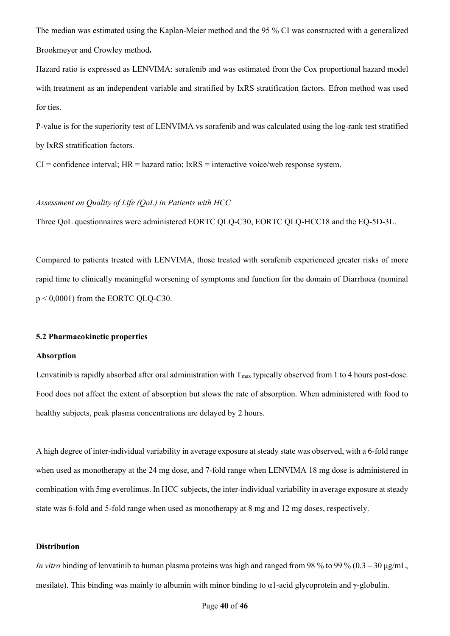The median was estimated using the Kaplan-Meier method and the 95 % CI was constructed with a generalized Brookmeyer and Crowley method**.**

Hazard ratio is expressed as LENVIMA: sorafenib and was estimated from the Cox proportional hazard model with treatment as an independent variable and stratified by IxRS stratification factors. Efron method was used for ties.

P-value is for the superiority test of LENVIMA vs sorafenib and was calculated using the log-rank test stratified by IxRS stratification factors.

 $CI =$  confidence interval;  $HR =$  hazard ratio;  $IRSS =$  interactive voice/web response system.

# *Assessment on Quality of Life (QoL) in Patients with HCC*

Three QoL questionnaires were administered EORTC QLQ-C30, EORTC QLQ-HCC18 and the EQ-5D-3L.

Compared to patients treated with LENVIMA, those treated with sorafenib experienced greater risks of more rapid time to clinically meaningful worsening of symptoms and function for the domain of Diarrhoea (nominal p < 0,0001) from the EORTC QLQ-C30.

# **5.2 Pharmacokinetic properties**

## **Absorption**

Lenvatinib is rapidly absorbed after oral administration with  $T_{\text{max}}$  typically observed from 1 to 4 hours post-dose. Food does not affect the extent of absorption but slows the rate of absorption. When administered with food to healthy subjects, peak plasma concentrations are delayed by 2 hours.

A high degree of inter-individual variability in average exposure at steady state was observed, with a 6-fold range when used as monotherapy at the 24 mg dose, and 7-fold range when LENVIMA 18 mg dose is administered in combination with 5mg everolimus. In HCC subjects, the inter-individual variability in average exposure at steady state was 6-fold and 5-fold range when used as monotherapy at 8 mg and 12 mg doses, respectively.

## **Distribution**

*In vitro* binding of lenvatinib to human plasma proteins was high and ranged from 98 % to 99 % (0.3 – 30 μg/mL, mesilate). This binding was mainly to albumin with minor binding to α1-acid glycoprotein and γ-globulin.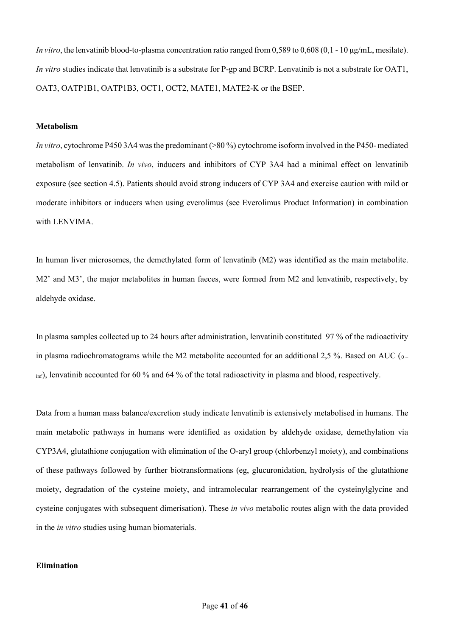*In vitro*, the lenvatinib blood-to-plasma concentration ratio ranged from 0,589 to 0,608 (0,1 - 10 μg/mL, mesilate). *In vitro* studies indicate that lenvatinib is a substrate for P-gp and BCRP. Lenvatinib is not a substrate for OAT1, OAT3, OATP1B1, OATP1B3, OCT1, OCT2, MATE1, MATE2-K or the BSEP.

# **Metabolism**

*In vitro*, cytochrome P450 3A4 was the predominant (>80 %) cytochrome isoform involved in the P450- mediated metabolism of lenvatinib. *In vivo*, inducers and inhibitors of CYP 3A4 had a minimal effect on lenvatinib exposure (see section 4.5). Patients should avoid strong inducers of CYP 3A4 and exercise caution with mild or moderate inhibitors or inducers when using everolimus (see Everolimus Product Information) in combination with LENVIMA.

In human liver microsomes, the demethylated form of lenvatinib (M2) was identified as the main metabolite. M2' and M3', the major metabolites in human faeces, were formed from M2 and lenvatinib, respectively, by aldehyde oxidase.

In plasma samples collected up to 24 hours after administration, lenvatinib constituted 97 % of the radioactivity in plasma radiochromatograms while the M2 metabolite accounted for an additional 2,5 %. Based on AUC  $_{0}$  $\sinh$ , lenvatinib accounted for 60 % and 64 % of the total radioactivity in plasma and blood, respectively.

Data from a human mass balance/excretion study indicate lenvatinib is extensively metabolised in humans. The main metabolic pathways in humans were identified as oxidation by aldehyde oxidase, demethylation via CYP3A4, glutathione conjugation with elimination of the O-aryl group (chlorbenzyl moiety), and combinations of these pathways followed by further biotransformations (eg, glucuronidation, hydrolysis of the glutathione moiety, degradation of the cysteine moiety, and intramolecular rearrangement of the cysteinylglycine and cysteine conjugates with subsequent dimerisation). These *in vivo* metabolic routes align with the data provided in the *in vitro* studies using human biomaterials.

# **Elimination**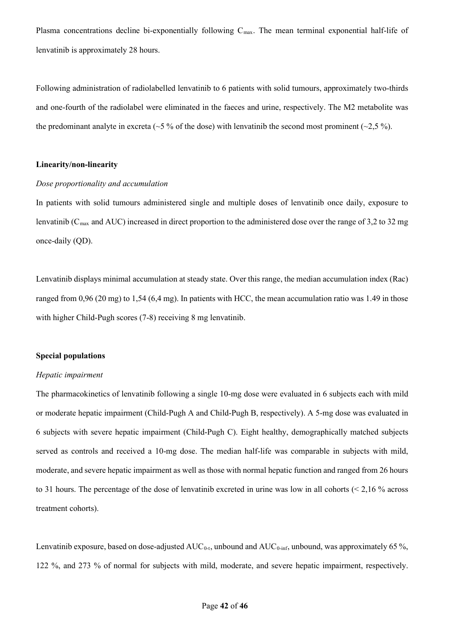Plasma concentrations decline bi-exponentially following  $C_{\text{max}}$ . The mean terminal exponential half-life of lenvatinib is approximately 28 hours.

Following administration of radiolabelled lenvatinib to 6 patients with solid tumours, approximately two-thirds and one-fourth of the radiolabel were eliminated in the faeces and urine, respectively. The M2 metabolite was the predominant analyte in excreta ( $\sim$ 5 % of the dose) with lenvatinib the second most prominent ( $\sim$ 2,5 %).

# **Linearity/non-linearity**

#### *Dose proportionality and accumulation*

In patients with solid tumours administered single and multiple doses of lenvatinib once daily, exposure to lenvatinib ( $C_{\text{max}}$  and AUC) increased in direct proportion to the administered dose over the range of 3,2 to 32 mg once-daily (QD).

Lenvatinib displays minimal accumulation at steady state. Over this range, the median accumulation index (Rac) ranged from 0,96 (20 mg) to 1,54 (6,4 mg). In patients with HCC, the mean accumulation ratio was 1.49 in those with higher Child-Pugh scores (7-8) receiving 8 mg lenvatinib.

### **Special populations**

### *Hepatic impairment*

The pharmacokinetics of lenvatinib following a single 10-mg dose were evaluated in 6 subjects each with mild or moderate hepatic impairment (Child-Pugh A and Child-Pugh B, respectively). A 5-mg dose was evaluated in 6 subjects with severe hepatic impairment (Child-Pugh C). Eight healthy, demographically matched subjects served as controls and received a 10-mg dose. The median half-life was comparable in subjects with mild, moderate, and severe hepatic impairment as well as those with normal hepatic function and ranged from 26 hours to 31 hours. The percentage of the dose of lenvatinib excreted in urine was low in all cohorts (< 2,16 % across treatment cohorts).

Lenvatinib exposure, based on dose-adjusted  $AUC_{0-t}$ , unbound and  $AUC_{0-int}$ , unbound, was approximately 65 %, 122 %, and 273 % of normal for subjects with mild, moderate, and severe hepatic impairment, respectively.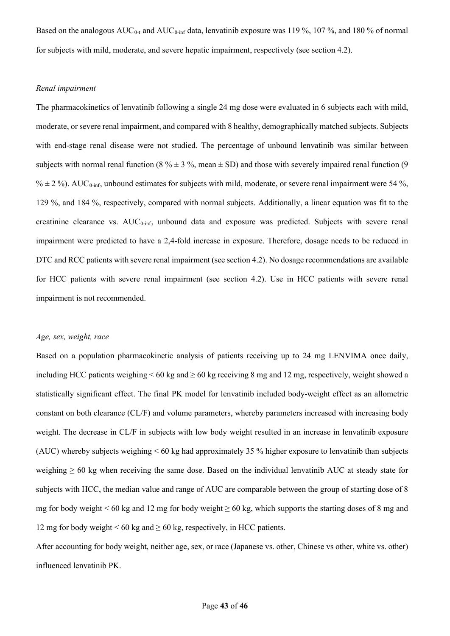Based on the analogous  $AUC_{0-t}$  and  $AUC_{0-int}$  data, lenvatinib exposure was 119 %, 107 %, and 180 % of normal for subjects with mild, moderate, and severe hepatic impairment, respectively (see section 4.2).

# *Renal impairment*

The pharmacokinetics of lenvatinib following a single 24 mg dose were evaluated in 6 subjects each with mild, moderate, or severe renal impairment, and compared with 8 healthy, demographically matched subjects. Subjects with end-stage renal disease were not studied. The percentage of unbound lenvatinib was similar between subjects with normal renal function (8  $\% \pm 3 \%$ , mean  $\pm$  SD) and those with severely impaired renal function (9  $% \pm 2$ %). AUC<sub>0-inf</sub>, unbound estimates for subjects with mild, moderate, or severe renal impairment were 54 %, 129 %, and 184 %, respectively, compared with normal subjects. Additionally, a linear equation was fit to the creatinine clearance vs.  $AUC_{0\text{-inf}}$ , unbound data and exposure was predicted. Subjects with severe renal impairment were predicted to have a 2,4-fold increase in exposure. Therefore, dosage needs to be reduced in DTC and RCC patients with severe renal impairment (see section 4.2). No dosage recommendations are available for HCC patients with severe renal impairment (see section 4.2). Use in HCC patients with severe renal impairment is not recommended.

# *Age, sex, weight, race*

Based on a population pharmacokinetic analysis of patients receiving up to 24 mg LENVIMA once daily, including HCC patients weighing  $< 60 \text{ kg}$  and  $\geq 60 \text{ kg}$  receiving 8 mg and 12 mg, respectively, weight showed a statistically significant effect. The final PK model for lenvatinib included body-weight effect as an allometric constant on both clearance (CL/F) and volume parameters, whereby parameters increased with increasing body weight. The decrease in CL/F in subjects with low body weight resulted in an increase in lenvatinib exposure (AUC) whereby subjects weighing < 60 kg had approximately 35 % higher exposure to lenvatinib than subjects weighing  $\geq 60$  kg when receiving the same dose. Based on the individual lenvatinib AUC at steady state for subjects with HCC, the median value and range of AUC are comparable between the group of starting dose of 8 mg for body weight < 60 kg and 12 mg for body weight  $\geq 60$  kg, which supports the starting doses of 8 mg and 12 mg for body weight < 60 kg and  $\geq$  60 kg, respectively, in HCC patients.

After accounting for body weight, neither age, sex, or race (Japanese vs. other, Chinese vs other, white vs. other) influenced lenvatinib PK.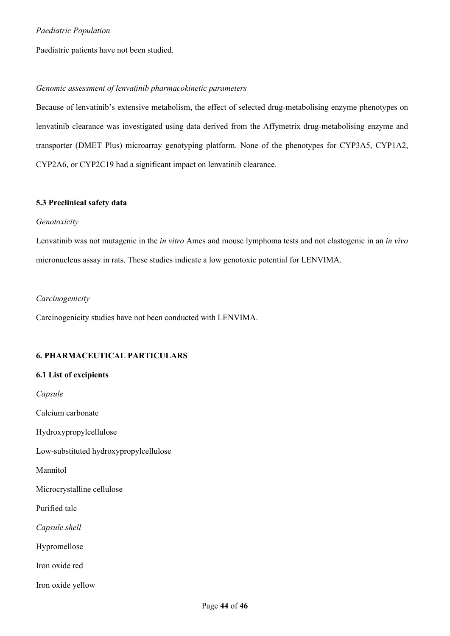Paediatric patients have not been studied.

# *Genomic assessment of lenvatinib pharmacokinetic parameters*

Because of lenvatinib's extensive metabolism, the effect of selected drug-metabolising enzyme phenotypes on lenvatinib clearance was investigated using data derived from the Affymetrix drug-metabolising enzyme and transporter (DMET Plus) microarray genotyping platform. None of the phenotypes for CYP3A5, CYP1A2, CYP2A6, or CYP2C19 had a significant impact on lenvatinib clearance.

# **5.3 Preclinical safety data**

# *Genotoxicity*

Lenvatinib was not mutagenic in the *in vitro* Ames and mouse lymphoma tests and not clastogenic in an *in vivo*  micronucleus assay in rats. These studies indicate a low genotoxic potential for LENVIMA.

# *Carcinogenicity*

Carcinogenicity studies have not been conducted with LENVIMA.

# **6. PHARMACEUTICAL PARTICULARS**

# **6.1 List of excipients**

*Capsule*  Calcium carbonate Hydroxypropylcellulose Low-substituted hydroxypropylcellulose Mannitol Microcrystalline cellulose Purified talc *Capsule shell* Hypromellose Iron oxide red Iron oxide yellow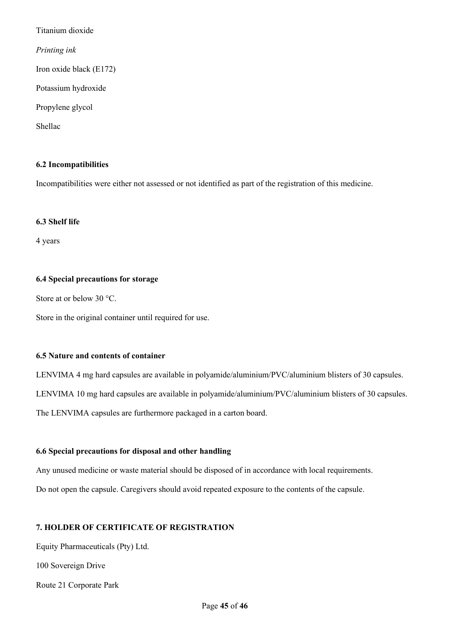Titanium dioxide *Printing ink* Iron oxide black (E172) Potassium hydroxide Propylene glycol Shellac

# **6.2 Incompatibilities**

Incompatibilities were either not assessed or not identified as part of the registration of this medicine.

# **6.3 Shelf life**

4 years

# **6.4 Special precautions for storage**

Store at or below 30 °C.

Store in the original container until required for use.

# **6.5 Nature and contents of container**

LENVIMA 4 mg hard capsules are available in polyamide/aluminium/PVC/aluminium blisters of 30 capsules. LENVIMA 10 mg hard capsules are available in polyamide/aluminium/PVC/aluminium blisters of 30 capsules. The LENVIMA capsules are furthermore packaged in a carton board.

# **6.6 Special precautions for disposal and other handling**

Any unused medicine or waste material should be disposed of in accordance with local requirements.

Do not open the capsule. Caregivers should avoid repeated exposure to the contents of the capsule.

# **7. HOLDER OF CERTIFICATE OF REGISTRATION**

Equity Pharmaceuticals (Pty) Ltd.

100 Sovereign Drive

Route 21 Corporate Park